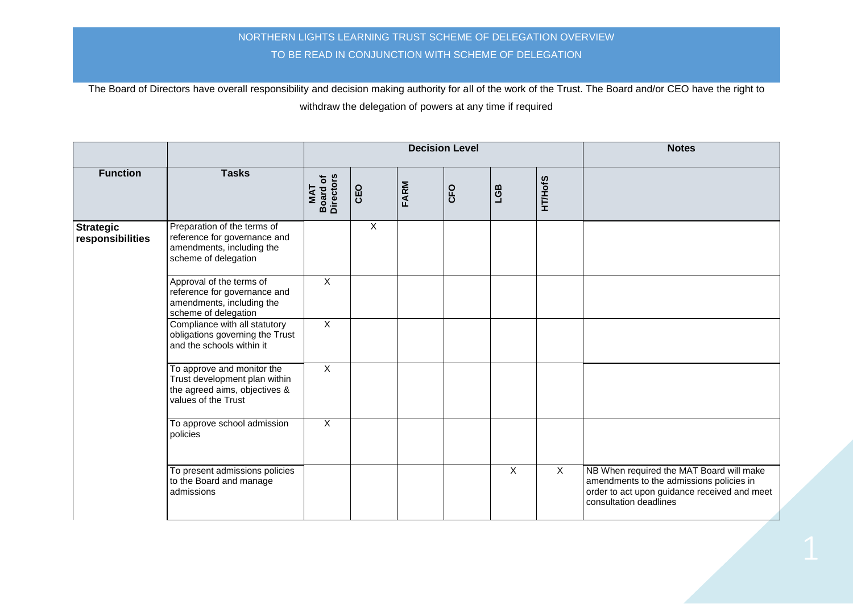|                                      |                                                                                                                     | <b>Decision Level</b>               |                |      |     |                |                | <b>Notes</b>                                                                                                                                                   |
|--------------------------------------|---------------------------------------------------------------------------------------------------------------------|-------------------------------------|----------------|------|-----|----------------|----------------|----------------------------------------------------------------------------------------------------------------------------------------------------------------|
| <b>Function</b>                      | <b>Tasks</b>                                                                                                        | <b>Board of</b><br>Directors<br>TAN | CEO            | FARM | CFO | EST            | <b>HT/HofS</b> |                                                                                                                                                                |
| <b>Strategic</b><br>responsibilities | Preparation of the terms of<br>reference for governance and<br>amendments, including the<br>scheme of delegation    |                                     | $\overline{X}$ |      |     |                |                |                                                                                                                                                                |
|                                      | Approval of the terms of<br>reference for governance and<br>amendments, including the<br>scheme of delegation       | $\overline{X}$                      |                |      |     |                |                |                                                                                                                                                                |
|                                      | Compliance with all statutory<br>obligations governing the Trust<br>and the schools within it                       | $\mathsf{X}$                        |                |      |     |                |                |                                                                                                                                                                |
|                                      | To approve and monitor the<br>Trust development plan within<br>the agreed aims, objectives &<br>values of the Trust | $\overline{X}$                      |                |      |     |                |                |                                                                                                                                                                |
|                                      | To approve school admission<br>policies                                                                             | X                                   |                |      |     |                |                |                                                                                                                                                                |
|                                      | To present admissions policies<br>to the Board and manage<br>admissions                                             |                                     |                |      |     | $\overline{X}$ | X              | NB When required the MAT Board will make<br>amendments to the admissions policies in<br>order to act upon guidance received and meet<br>consultation deadlines |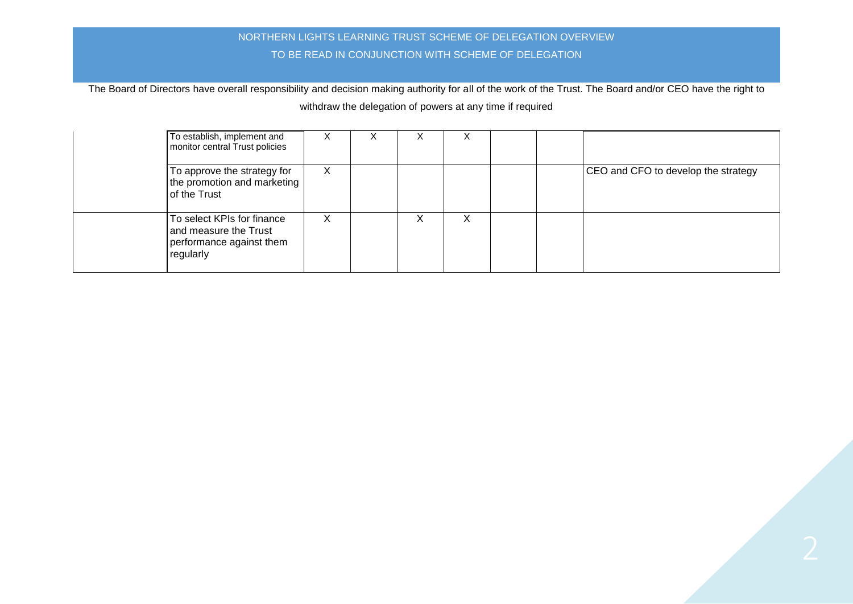| To establish, implement and<br>monitor central Trust policies                                | X | ∧ | ∧ | ∧ |  |                                     |
|----------------------------------------------------------------------------------------------|---|---|---|---|--|-------------------------------------|
| To approve the strategy for<br>the promotion and marketing<br>of the Trust                   | X |   |   |   |  | CEO and CFO to develop the strategy |
| To select KPIs for finance<br>and measure the Trust<br>performance against them<br>regularly | X |   | ⋏ | х |  |                                     |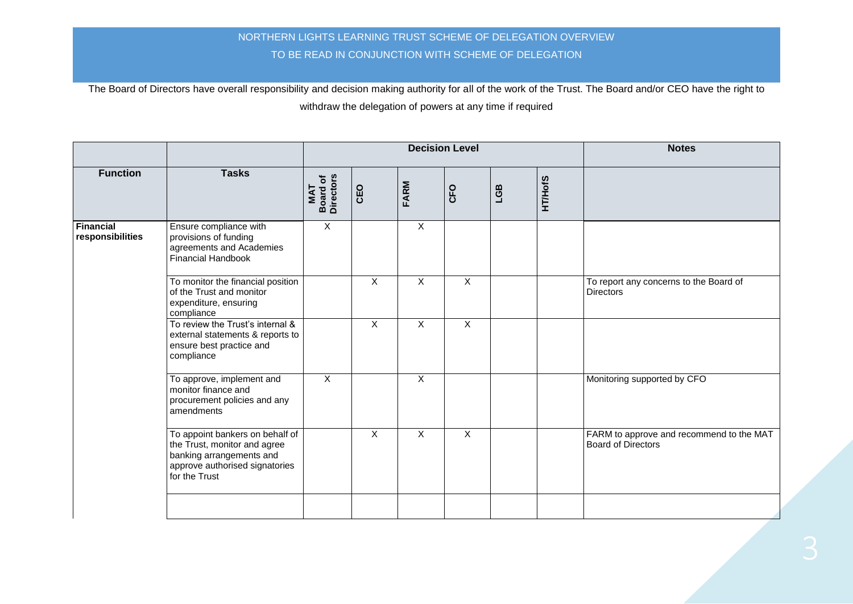|                                      |                                                                                                                                                | <b>Decision Level</b>                      |     |                           |              |     |                | <b>Notes</b>                                                          |
|--------------------------------------|------------------------------------------------------------------------------------------------------------------------------------------------|--------------------------------------------|-----|---------------------------|--------------|-----|----------------|-----------------------------------------------------------------------|
| <b>Function</b>                      | <b>Tasks</b>                                                                                                                                   | <b>Board of</b><br>Directors<br><b>TAN</b> | CEO | FARM                      | CFO          | LGB | <b>HT/HofS</b> |                                                                       |
| <b>Financial</b><br>responsibilities | Ensure compliance with<br>provisions of funding<br>agreements and Academies<br>Financial Handbook                                              | $\overline{X}$                             |     | $\overline{X}$            |              |     |                |                                                                       |
|                                      | To monitor the financial position<br>of the Trust and monitor<br>expenditure, ensuring<br>compliance                                           |                                            | X   | $\boldsymbol{\mathsf{X}}$ | $\mathsf{X}$ |     |                | To report any concerns to the Board of<br><b>Directors</b>            |
|                                      | To review the Trust's internal &<br>external statements & reports to<br>ensure best practice and<br>compliance                                 |                                            | X   | $\boldsymbol{\mathsf{X}}$ | $\mathsf{X}$ |     |                |                                                                       |
|                                      | To approve, implement and<br>monitor finance and<br>procurement policies and any<br>amendments                                                 | $\overline{\mathsf{x}}$                    |     | $\boldsymbol{\mathsf{X}}$ |              |     |                | Monitoring supported by CFO                                           |
|                                      | To appoint bankers on behalf of<br>the Trust, monitor and agree<br>banking arrangements and<br>approve authorised signatories<br>for the Trust |                                            | X   | $\overline{X}$            | X            |     |                | FARM to approve and recommend to the MAT<br><b>Board of Directors</b> |
|                                      |                                                                                                                                                |                                            |     |                           |              |     |                |                                                                       |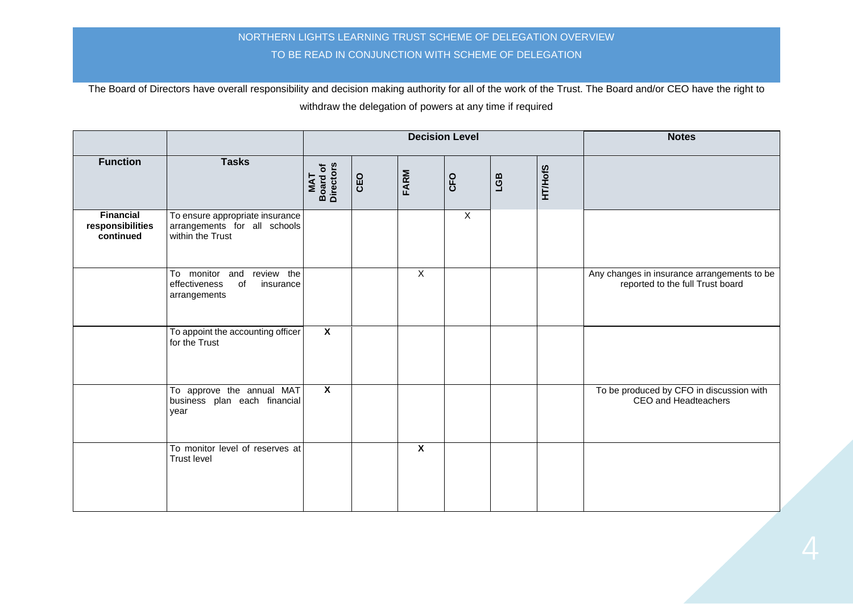|                                                   |                                                                                     |                                     |     |                         | <b>Decision Level</b> | <b>Notes</b> |                |                                                                                 |
|---------------------------------------------------|-------------------------------------------------------------------------------------|-------------------------------------|-----|-------------------------|-----------------------|--------------|----------------|---------------------------------------------------------------------------------|
| <b>Function</b>                                   | <b>Tasks</b>                                                                        | <b>Board of</b><br>Directors<br>MAT | CEO | FARM                    | CFO                   | LGB          | <b>HT/HofS</b> |                                                                                 |
| <b>Financial</b><br>responsibilities<br>continued | To ensure appropriate insurance<br>arrangements for all schools<br>within the Trust |                                     |     |                         | $\overline{X}$        |              |                |                                                                                 |
|                                                   | To monitor and review the<br>effectiveness<br>of<br>insurance<br>arrangements       |                                     |     | $\mathsf{X}$            |                       |              |                | Any changes in insurance arrangements to be<br>reported to the full Trust board |
|                                                   | To appoint the accounting officer<br>for the Trust                                  | $\overline{\mathbf{X}}$             |     |                         |                       |              |                |                                                                                 |
|                                                   | To approve the annual MAT<br>business plan each financial<br>year                   | $\overline{\mathbf{x}}$             |     |                         |                       |              |                | To be produced by CFO in discussion with<br>CEO and Headteachers                |
|                                                   | To monitor level of reserves at<br><b>Trust level</b>                               |                                     |     | $\overline{\mathbf{x}}$ |                       |              |                |                                                                                 |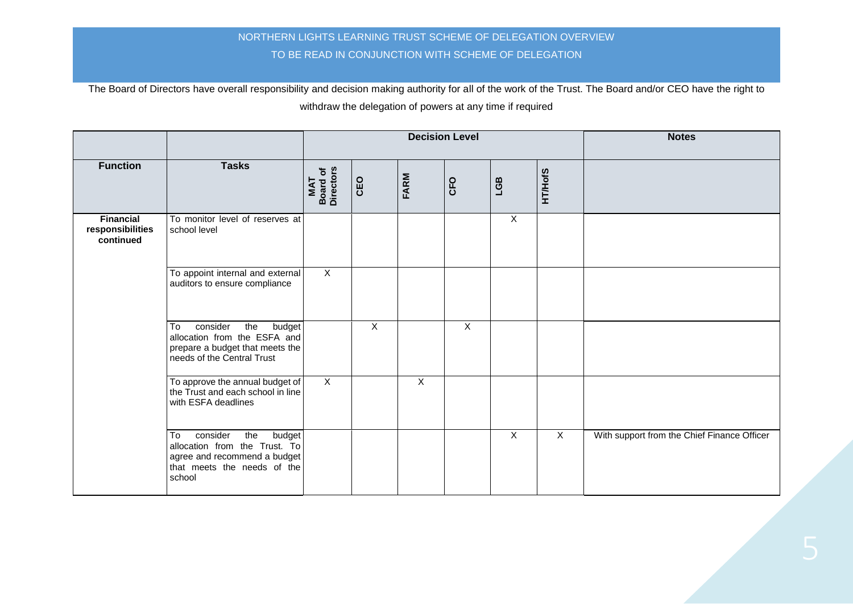|                                                   |                                                                                                                                                                  |                                            |         |                | <b>Decision Level</b> | <b>Notes</b>   |                |                                             |
|---------------------------------------------------|------------------------------------------------------------------------------------------------------------------------------------------------------------------|--------------------------------------------|---------|----------------|-----------------------|----------------|----------------|---------------------------------------------|
| <b>Function</b>                                   | <b>Tasks</b>                                                                                                                                                     | <b>Board of</b><br>Directors<br><b>TAN</b> | CEO     | FARM           | CFO                   | EST            | <b>HT/HofS</b> |                                             |
| <b>Financial</b><br>responsibilities<br>continued | To monitor level of reserves at<br>school level                                                                                                                  |                                            |         |                |                       | $\sf X$        |                |                                             |
|                                                   | To appoint internal and external<br>auditors to ensure compliance                                                                                                | $\mathsf{X}$                               |         |                |                       |                |                |                                             |
|                                                   | consider<br>To<br>the<br>budget<br>allocation from the ESFA and<br>prepare a budget that meets the<br>needs of the Central Trust                                 |                                            | $\sf X$ |                | $\pmb{\times}$        |                |                |                                             |
|                                                   | To approve the annual budget of<br>the Trust and each school in line<br>with ESFA deadlines                                                                      | $\overline{X}$                             |         | $\overline{X}$ |                       |                |                |                                             |
|                                                   | $\overline{\mathsf{T}}$ o<br>consider<br>the<br>budget<br>allocation from the Trust. To<br>agree and recommend a budget<br>that meets the needs of the<br>school |                                            |         |                |                       | $\overline{X}$ | $\overline{X}$ | With support from the Chief Finance Officer |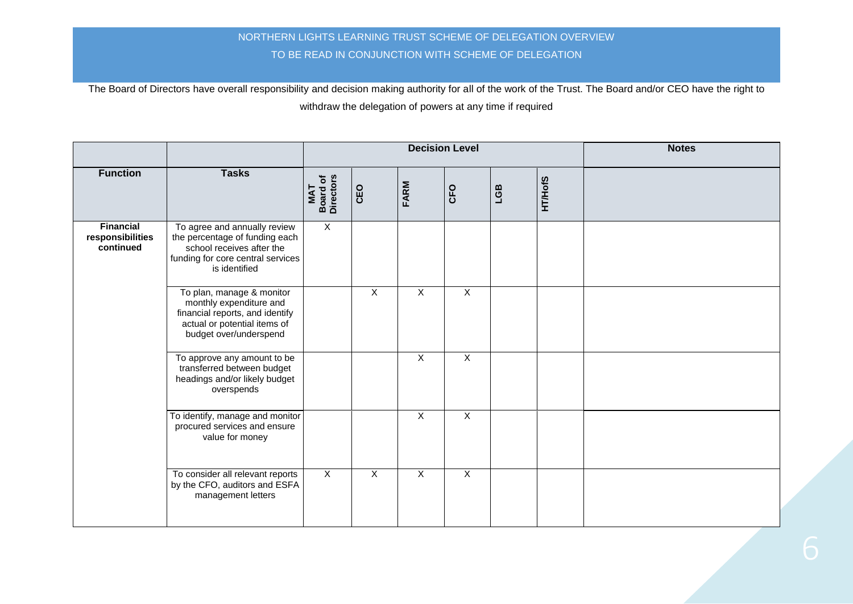|                                                   |                                                                                                                                                   |                                     |                | <b>Decision Level</b> |                           | <b>Notes</b> |                |  |
|---------------------------------------------------|---------------------------------------------------------------------------------------------------------------------------------------------------|-------------------------------------|----------------|-----------------------|---------------------------|--------------|----------------|--|
| <b>Function</b>                                   | <b>Tasks</b>                                                                                                                                      | <b>Board of</b><br>Directors<br>MAT | CEO            | FARM                  | CFO                       | LGB          | <b>HT/HofS</b> |  |
| <b>Financial</b><br>responsibilities<br>continued | To agree and annually review<br>the percentage of funding each<br>school receives after the<br>funding for core central services<br>is identified | $\overline{X}$                      |                |                       |                           |              |                |  |
|                                                   | To plan, manage & monitor<br>monthly expenditure and<br>financial reports, and identify<br>actual or potential items of<br>budget over/underspend |                                     | $\overline{X}$ | $\mathsf{X}$          | $\overline{X}$            |              |                |  |
|                                                   | To approve any amount to be<br>transferred between budget<br>headings and/or likely budget<br>overspends                                          |                                     |                | X                     | $\overline{X}$            |              |                |  |
|                                                   | To identify, manage and monitor<br>procured services and ensure<br>value for money                                                                |                                     |                | $\mathsf{X}$          | $\boldsymbol{\mathsf{X}}$ |              |                |  |
|                                                   | To consider all relevant reports<br>by the CFO, auditors and ESFA<br>management letters                                                           | $\overline{X}$                      | $\overline{X}$ | $\overline{X}$        | $\overline{X}$            |              |                |  |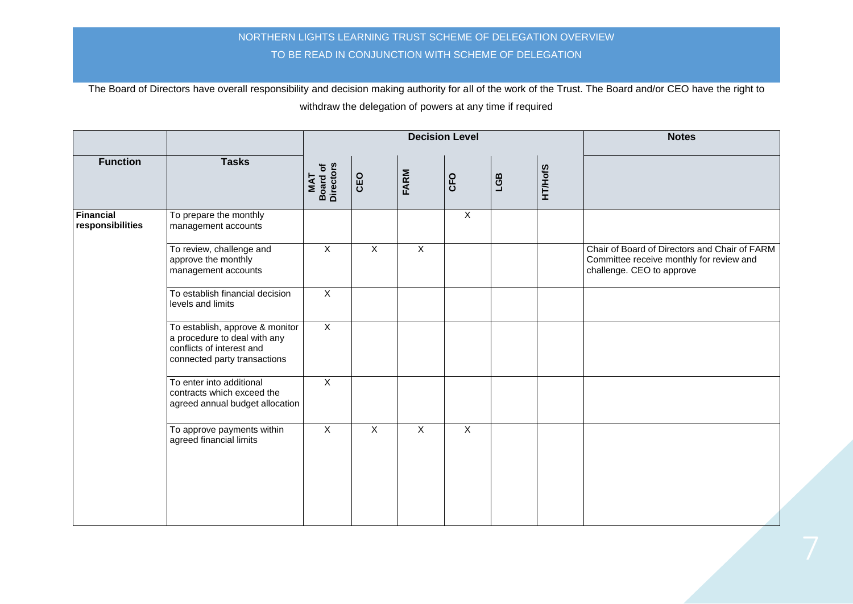|                               |                                                                                                                              |                                      |                |                | <b>Decision Level</b> |     |                | <b>Notes</b>                                                                                                           |
|-------------------------------|------------------------------------------------------------------------------------------------------------------------------|--------------------------------------|----------------|----------------|-----------------------|-----|----------------|------------------------------------------------------------------------------------------------------------------------|
| <b>Function</b>               | <b>Tasks</b>                                                                                                                 | <b>Board of<br/>Directors</b><br>TAN | <b>CEO</b>     | FARM           | CFO                   | LGB | <b>HT/HofS</b> |                                                                                                                        |
| Financial<br>responsibilities | To prepare the monthly<br>management accounts                                                                                |                                      |                |                | $\mathsf{X}$          |     |                |                                                                                                                        |
|                               | To review, challenge and<br>approve the monthly<br>management accounts                                                       | $\overline{X}$                       | $\overline{X}$ | $\overline{X}$ |                       |     |                | Chair of Board of Directors and Chair of FARM<br>Committee receive monthly for review and<br>challenge. CEO to approve |
|                               | To establish financial decision<br>levels and limits                                                                         | $\overline{X}$                       |                |                |                       |     |                |                                                                                                                        |
|                               | To establish, approve & monitor<br>a procedure to deal with any<br>conflicts of interest and<br>connected party transactions | $\overline{X}$                       |                |                |                       |     |                |                                                                                                                        |
|                               | To enter into additional<br>contracts which exceed the<br>agreed annual budget allocation                                    | $\mathsf{X}$                         |                |                |                       |     |                |                                                                                                                        |
|                               | To approve payments within<br>agreed financial limits                                                                        | $\overline{X}$                       | $\overline{X}$ | $\overline{X}$ | $\overline{X}$        |     |                |                                                                                                                        |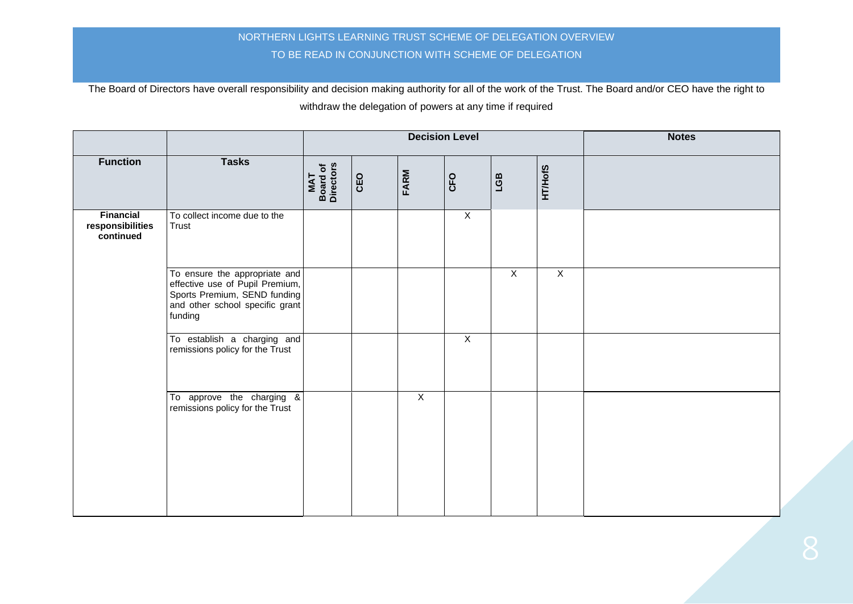|                                                   |                                                                                                                                                |                                     |     | <b>Decision Level</b> |                | <b>Notes</b>   |                |  |
|---------------------------------------------------|------------------------------------------------------------------------------------------------------------------------------------------------|-------------------------------------|-----|-----------------------|----------------|----------------|----------------|--|
| <b>Function</b>                                   | <b>Tasks</b>                                                                                                                                   | <b>Board of</b><br>Directors<br>MAT | CEO | FARM                  | CFO            | LGB            | <b>HT/HofS</b> |  |
| <b>Financial</b><br>responsibilities<br>continued | To collect income due to the<br>Trust                                                                                                          |                                     |     |                       | $\overline{X}$ |                |                |  |
|                                                   | To ensure the appropriate and<br>effective use of Pupil Premium,<br>Sports Premium, SEND funding<br>and other school specific grant<br>funding |                                     |     |                       |                | $\overline{X}$ | $\overline{X}$ |  |
|                                                   | To establish a charging and<br>remissions policy for the Trust                                                                                 |                                     |     |                       | $\overline{X}$ |                |                |  |
|                                                   | To approve the charging &<br>remissions policy for the Trust                                                                                   |                                     |     | $\overline{X}$        |                |                |                |  |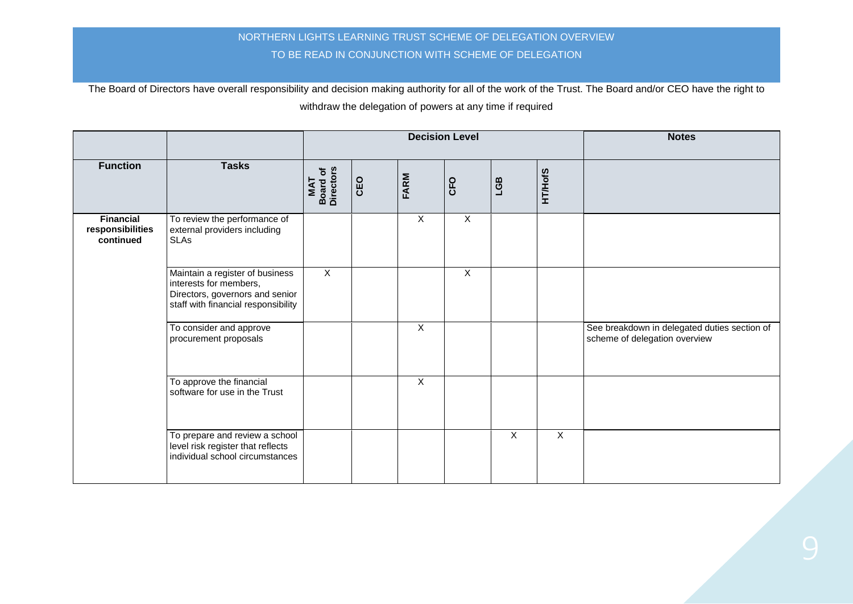|                                                   |                                                                                                                                     |                                     |     |                | <b>Decision Level</b> | <b>Notes</b>   |                |                                                                               |
|---------------------------------------------------|-------------------------------------------------------------------------------------------------------------------------------------|-------------------------------------|-----|----------------|-----------------------|----------------|----------------|-------------------------------------------------------------------------------|
| <b>Function</b>                                   | <b>Tasks</b>                                                                                                                        | <b>Board of</b><br>Directors<br>MAT | CEO | FARM           | CFO                   | LGB            | <b>HT/HofS</b> |                                                                               |
| <b>Financial</b><br>responsibilities<br>continued | To review the performance of<br>external providers including<br>SLAs                                                                |                                     |     | X              | $\mathsf{X}$          |                |                |                                                                               |
|                                                   | Maintain a register of business<br>interests for members,<br>Directors, governors and senior<br>staff with financial responsibility | $\mathsf{X}$                        |     |                | $\mathsf{X}$          |                |                |                                                                               |
|                                                   | To consider and approve<br>procurement proposals                                                                                    |                                     |     | $\mathsf{X}$   |                       |                |                | See breakdown in delegated duties section of<br>scheme of delegation overview |
|                                                   | To approve the financial<br>software for use in the Trust                                                                           |                                     |     | $\overline{X}$ |                       |                |                |                                                                               |
|                                                   | To prepare and review a school<br>level risk register that reflects<br>individual school circumstances                              |                                     |     |                |                       | $\overline{X}$ | $\overline{X}$ |                                                                               |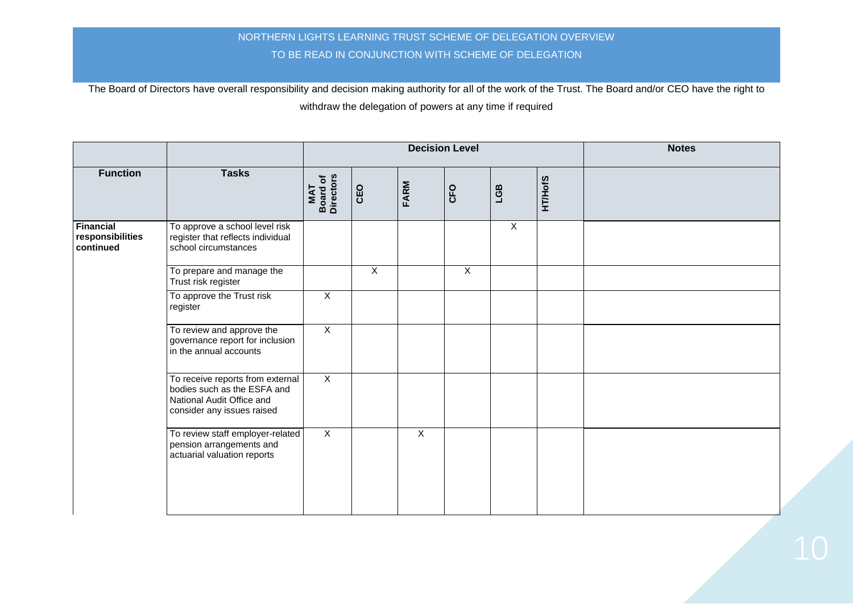|                                                   |                                                                                                                            |                                      |                |                | <b>Decision Level</b> | <b>Notes</b>   |                |  |
|---------------------------------------------------|----------------------------------------------------------------------------------------------------------------------------|--------------------------------------|----------------|----------------|-----------------------|----------------|----------------|--|
| <b>Function</b>                                   | <b>Tasks</b>                                                                                                               | <b>Board of<br/>Directors</b><br>MAT | CEO            | FARM           | CFO                   | LGB            | <b>HT/HofS</b> |  |
| <b>Financial</b><br>responsibilities<br>continued | To approve a school level risk<br>register that reflects individual<br>school circumstances                                |                                      |                |                |                       | $\overline{X}$ |                |  |
|                                                   | To prepare and manage the<br>Trust risk register                                                                           |                                      | $\overline{X}$ |                | $\overline{X}$        |                |                |  |
|                                                   | To approve the Trust risk<br>register                                                                                      | $\overline{X}$                       |                |                |                       |                |                |  |
|                                                   | To review and approve the<br>governance report for inclusion<br>in the annual accounts                                     | $\overline{X}$                       |                |                |                       |                |                |  |
|                                                   | To receive reports from external<br>bodies such as the ESFA and<br>National Audit Office and<br>consider any issues raised | $\overline{X}$                       |                |                |                       |                |                |  |
|                                                   | To review staff employer-related<br>pension arrangements and<br>actuarial valuation reports                                | $\overline{X}$                       |                | $\overline{X}$ |                       |                |                |  |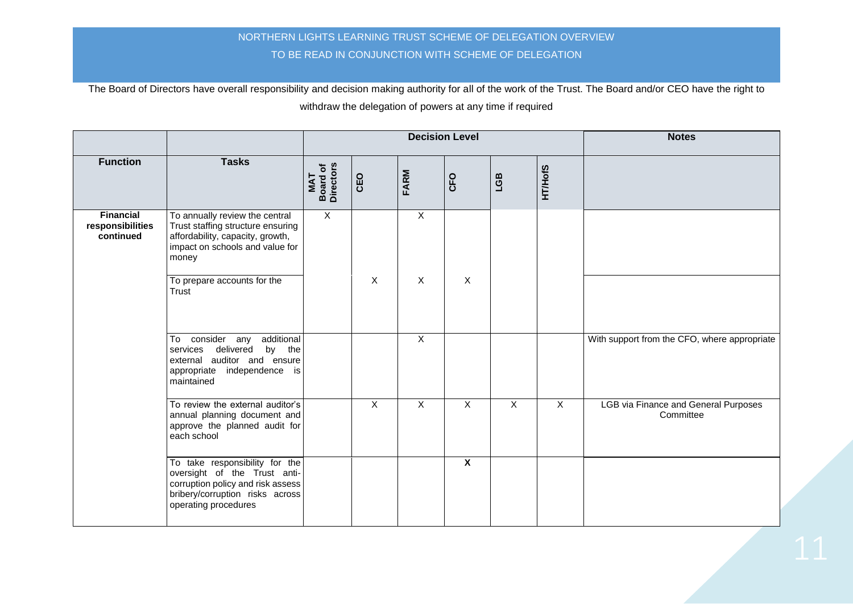|                                                   |                                                                                                                                                                |                                            |                           |                         | <b>Decision Level</b>   | <b>Notes</b> |                |                                                          |
|---------------------------------------------------|----------------------------------------------------------------------------------------------------------------------------------------------------------------|--------------------------------------------|---------------------------|-------------------------|-------------------------|--------------|----------------|----------------------------------------------------------|
| <b>Function</b>                                   | <b>Tasks</b>                                                                                                                                                   | <b>Board of</b><br>Directors<br><b>NAT</b> | CEO                       | FARM                    | CFO                     | LGB          | <b>HT/HofS</b> |                                                          |
| <b>Financial</b><br>responsibilities<br>continued | To annually review the central<br>Trust staffing structure ensuring<br>affordability, capacity, growth,<br>impact on schools and value for<br>money            | $\overline{X}$                             |                           | $\mathsf{X}$            |                         |              |                |                                                          |
|                                                   | To prepare accounts for the<br>Trust                                                                                                                           |                                            | $\overline{X}$            | $\overline{X}$          | $\overline{X}$          |              |                |                                                          |
|                                                   | To consider any additional<br>services delivered<br>by the<br>external auditor and ensure<br>appropriate independence is<br>maintained                         |                                            |                           | $\overline{\mathsf{x}}$ |                         |              |                | With support from the CFO, where appropriate             |
|                                                   | To review the external auditor's<br>annual planning document and<br>approve the planned audit for<br>each school                                               |                                            | $\boldsymbol{\mathsf{X}}$ | $\mathsf{X}$            | X                       | $\sf X$      | $\mathsf{X}$   | <b>LGB via Finance and General Purposes</b><br>Committee |
|                                                   | To take responsibility for the<br>oversight of the Trust anti-<br>corruption policy and risk assess<br>bribery/corruption risks across<br>operating procedures |                                            |                           |                         | $\overline{\mathbf{x}}$ |              |                |                                                          |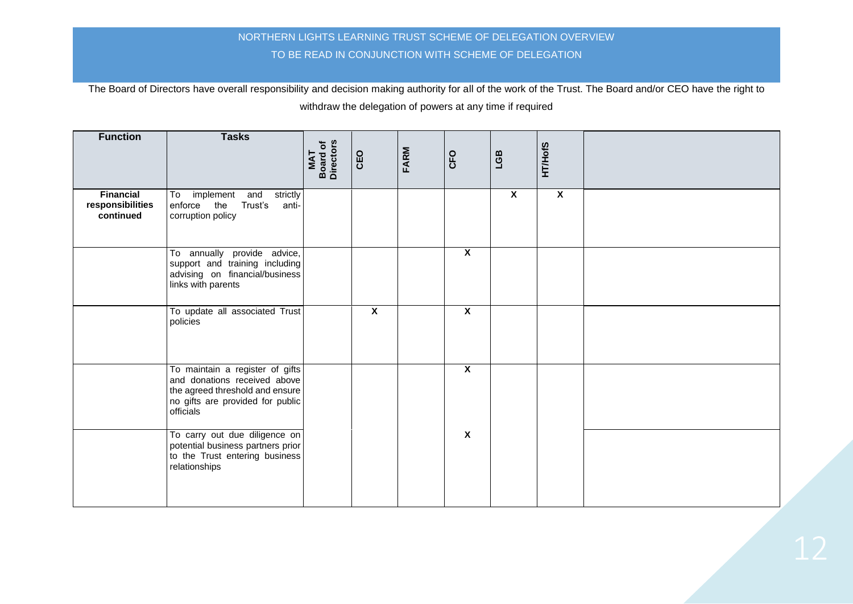| <b>Function</b>                                   | <b>Tasks</b>                                                                                                                                        | Board of<br>Directors<br>MAT | CEO                     | FARM | CFO                     | LGB                       | <b>HT/HofS</b>            |  |
|---------------------------------------------------|-----------------------------------------------------------------------------------------------------------------------------------------------------|------------------------------|-------------------------|------|-------------------------|---------------------------|---------------------------|--|
| <b>Financial</b><br>responsibilities<br>continued | To implement and strictly<br>enforce the Trust's<br>anti-<br>corruption policy                                                                      |                              |                         |      |                         | $\boldsymbol{\mathsf{X}}$ | $\boldsymbol{\mathsf{X}}$ |  |
|                                                   | To annually provide advice,<br>support and training including<br>advising on financial/business<br>links with parents                               |                              |                         |      | $\overline{\mathbf{x}}$ |                           |                           |  |
|                                                   | To update all associated Trust<br>policies                                                                                                          |                              | $\overline{\mathbf{x}}$ |      | $\overline{\mathbf{x}}$ |                           |                           |  |
|                                                   | To maintain a register of gifts<br>and donations received above<br>the agreed threshold and ensure<br>no gifts are provided for public<br>officials |                              |                         |      | $\overline{\mathbf{x}}$ |                           |                           |  |
|                                                   | To carry out due diligence on<br>potential business partners prior<br>to the Trust entering business<br>relationships                               |                              |                         |      | $\overline{\mathbf{x}}$ |                           |                           |  |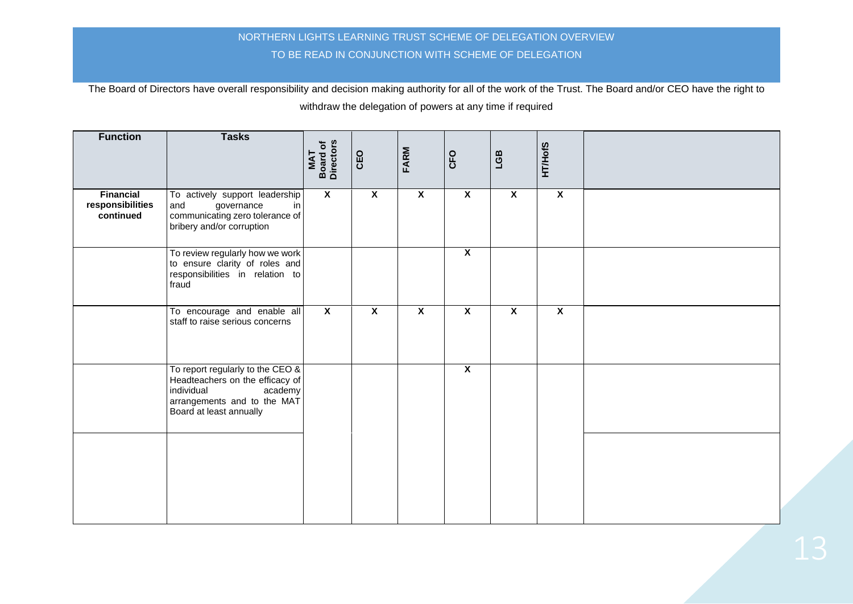| <b>Function</b>                                   | <b>Tasks</b>                                                                                                                                              | MAT<br>Board of<br>Directors | CEO                     | FARM                      | CFO                       | LGB                       | <b>HT/HofS</b>            |  |
|---------------------------------------------------|-----------------------------------------------------------------------------------------------------------------------------------------------------------|------------------------------|-------------------------|---------------------------|---------------------------|---------------------------|---------------------------|--|
| <b>Financial</b><br>responsibilities<br>continued | To actively support leadership<br>and<br>governance<br>in<br>communicating zero tolerance of<br>bribery and/or corruption                                 | $\boldsymbol{\mathsf{x}}$    | $\mathbf{x}$            | $\boldsymbol{\mathsf{x}}$ | $\boldsymbol{\mathsf{X}}$ | $\boldsymbol{\mathsf{X}}$ | $\boldsymbol{\mathsf{X}}$ |  |
|                                                   | To review regularly how we work<br>to ensure clarity of roles and<br>responsibilities in relation to<br>fraud                                             |                              |                         |                           | $\overline{\mathbf{X}}$   |                           |                           |  |
|                                                   | To encourage and enable all<br>staff to raise serious concerns                                                                                            | $\overline{\mathbf{X}}$      | $\overline{\mathbf{x}}$ | $\overline{\mathbf{x}}$   | $\overline{\mathbf{X}}$   | $\overline{\mathbf{x}}$   | $\overline{\mathbf{x}}$   |  |
|                                                   | To report regularly to the CEO $\&$<br>Headteachers on the efficacy of<br>individual<br>academy<br>arrangements and to the MAT<br>Board at least annually |                              |                         |                           | $\overline{\mathbf{x}}$   |                           |                           |  |
|                                                   |                                                                                                                                                           |                              |                         |                           |                           |                           |                           |  |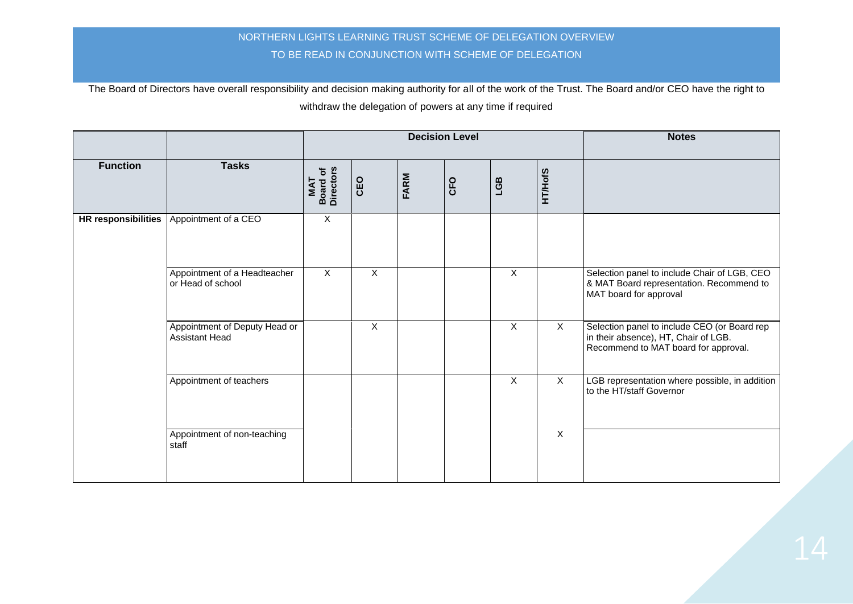|                 |                                                        | <b>Decision Level</b>                      |              |      |     |              |                | <b>Notes</b>                                                                                                                 |
|-----------------|--------------------------------------------------------|--------------------------------------------|--------------|------|-----|--------------|----------------|------------------------------------------------------------------------------------------------------------------------------|
| <b>Function</b> | <b>Tasks</b>                                           | <b>Board of</b><br>Directors<br><b>TAN</b> | CEO          | FARM | CFO | LGB          | <b>HT/HofS</b> |                                                                                                                              |
|                 | HR responsibilities   Appointment of a CEO             | $\mathsf X$                                |              |      |     |              |                |                                                                                                                              |
|                 | Appointment of a Headteacher<br>or Head of school      | $\times$                                   | $\sf X$      |      |     | $\times$     |                | Selection panel to include Chair of LGB, CEO<br>& MAT Board representation. Recommend to<br>MAT board for approval           |
|                 | Appointment of Deputy Head or<br><b>Assistant Head</b> |                                            | $\mathsf{X}$ |      |     | $\sf X$      | $\mathsf{X}$   | Selection panel to include CEO (or Board rep<br>in their absence), HT, Chair of LGB.<br>Recommend to MAT board for approval. |
|                 | Appointment of teachers                                |                                            |              |      |     | $\mathsf{X}$ | $\times$       | LGB representation where possible, in addition<br>to the HT/staff Governor                                                   |
|                 | Appointment of non-teaching<br>staff                   |                                            |              |      |     |              | $\overline{X}$ |                                                                                                                              |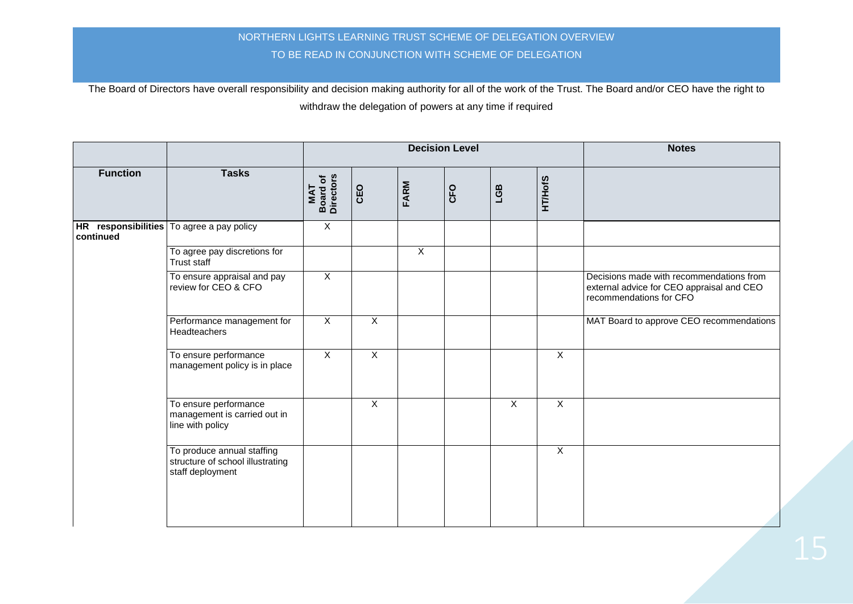|                 |                                                                                    |                                     |                |                | <b>Decision Level</b> |              |                | <b>Notes</b>                                                                                                     |
|-----------------|------------------------------------------------------------------------------------|-------------------------------------|----------------|----------------|-----------------------|--------------|----------------|------------------------------------------------------------------------------------------------------------------|
| <b>Function</b> | <b>Tasks</b>                                                                       | <b>Board of</b><br>Directors<br>MAT | CEO            | <b>FARM</b>    | CFO                   | LGB          | <b>HT/HofS</b> |                                                                                                                  |
| continued       | HR responsibilities   To agree a pay policy                                        | $\overline{X}$                      |                |                |                       |              |                |                                                                                                                  |
|                 | To agree pay discretions for<br>Trust staff                                        |                                     |                | $\overline{X}$ |                       |              |                |                                                                                                                  |
|                 | To ensure appraisal and pay<br>review for CEO & CFO                                | $\overline{X}$                      |                |                |                       |              |                | Decisions made with recommendations from<br>external advice for CEO appraisal and CEO<br>recommendations for CFO |
|                 | Performance management for<br>Headteachers                                         | $\sf X$                             | $\overline{X}$ |                |                       |              |                | MAT Board to approve CEO recommendations                                                                         |
|                 | To ensure performance<br>management policy is in place                             | $\overline{X}$                      | $\overline{X}$ |                |                       |              | $\mathsf{X}$   |                                                                                                                  |
|                 | To ensure performance<br>management is carried out in<br>line with policy          |                                     | $\sf X$        |                |                       | $\mathsf{X}$ | $\mathsf{X}$   |                                                                                                                  |
|                 | To produce annual staffing<br>structure of school illustrating<br>staff deployment |                                     |                |                |                       |              | $\overline{X}$ |                                                                                                                  |
|                 |                                                                                    |                                     |                |                |                       |              |                |                                                                                                                  |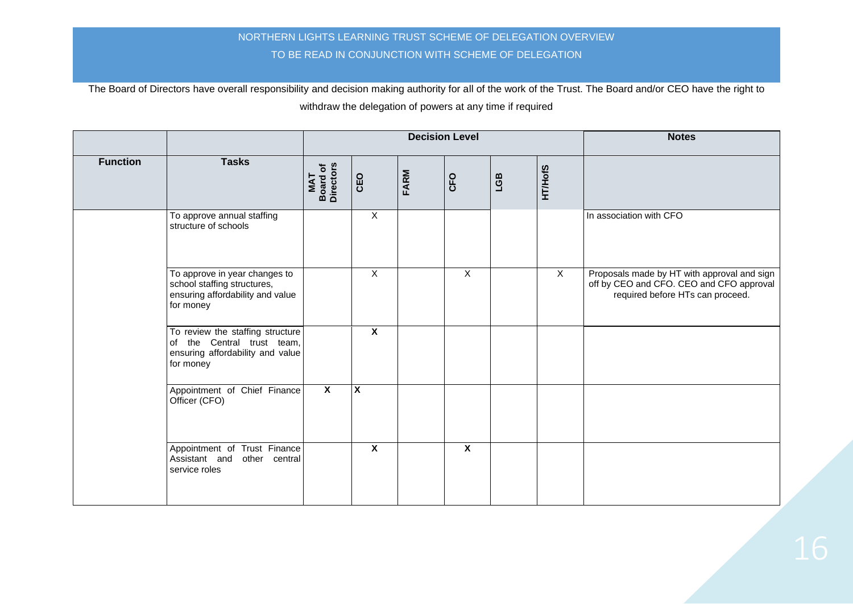|                 |                                                                                                                 |                              |                         |             | <b>Decision Level</b>   | <b>Notes</b> |                |                                                                                                                             |
|-----------------|-----------------------------------------------------------------------------------------------------------------|------------------------------|-------------------------|-------------|-------------------------|--------------|----------------|-----------------------------------------------------------------------------------------------------------------------------|
| <b>Function</b> | <b>Tasks</b>                                                                                                    | Board of<br>Directors<br>MAT | CEO                     | <b>FARM</b> | CFO                     | LGB          | <b>HT/HofS</b> |                                                                                                                             |
|                 | To approve annual staffing<br>structure of schools                                                              |                              | $\mathsf{X}$            |             |                         |              |                | In association with CFO                                                                                                     |
|                 | To approve in year changes to<br>school staffing structures,<br>ensuring affordability and value<br>for money   |                              | $\overline{X}$          |             | $\overline{X}$          |              | $\mathsf{X}$   | Proposals made by HT with approval and sign<br>off by CEO and CFO. CEO and CFO approval<br>required before HTs can proceed. |
|                 | To review the staffing structure<br>of the Central trust team,<br>ensuring affordability and value<br>for money |                              | $\overline{\mathbf{x}}$ |             |                         |              |                |                                                                                                                             |
|                 | Appointment of Chief Finance<br>Officer (CFO)                                                                   | $\overline{\mathbf{x}}$      | X                       |             |                         |              |                |                                                                                                                             |
|                 | Appointment of Trust Finance<br>Assistant and other central<br>service roles                                    |                              | $\overline{\mathbf{x}}$ |             | $\overline{\mathbf{x}}$ |              |                |                                                                                                                             |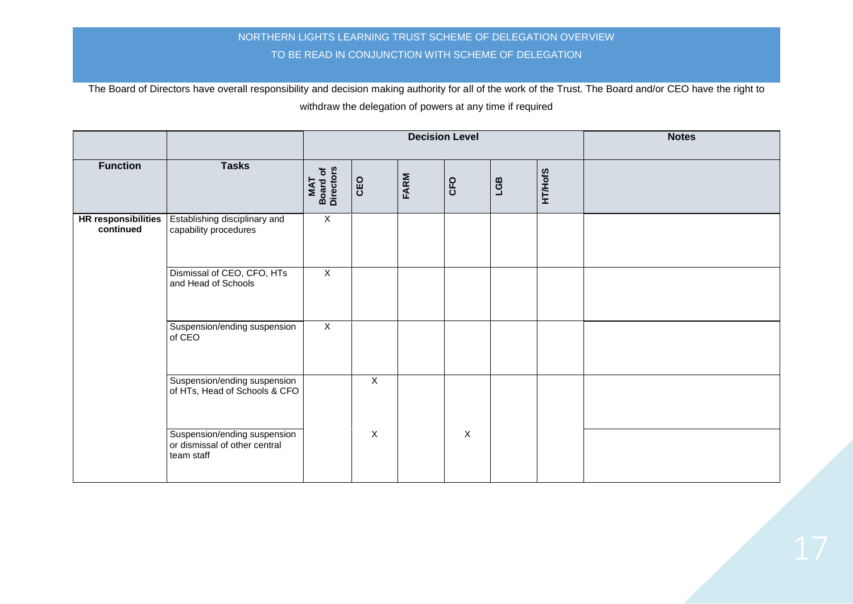|                 |                                                                              |                              |                |      | <b>Decision Level</b> | <b>Notes</b> |                |  |
|-----------------|------------------------------------------------------------------------------|------------------------------|----------------|------|-----------------------|--------------|----------------|--|
| <b>Function</b> | <b>Tasks</b>                                                                 | MAT<br>Board of<br>Directors | CEO            | FARM | CFO                   | LGB          | <b>HT/HofS</b> |  |
| continued       | HR responsibilities   Establishing disciplinary and<br>capability procedures | $\mathsf X$                  |                |      |                       |              |                |  |
|                 | Dismissal of CEO, CFO, HTs<br>and Head of Schools                            | $\overline{X}$               |                |      |                       |              |                |  |
|                 | Suspension/ending suspension<br>of CEO                                       | $\mathsf{X}$                 |                |      |                       |              |                |  |
|                 | Suspension/ending suspension<br>of HTs, Head of Schools & CFO                |                              | $\overline{X}$ |      |                       |              |                |  |
|                 | Suspension/ending suspension<br>or dismissal of other central<br>team staff  |                              | $\overline{X}$ |      | $\overline{X}$        |              |                |  |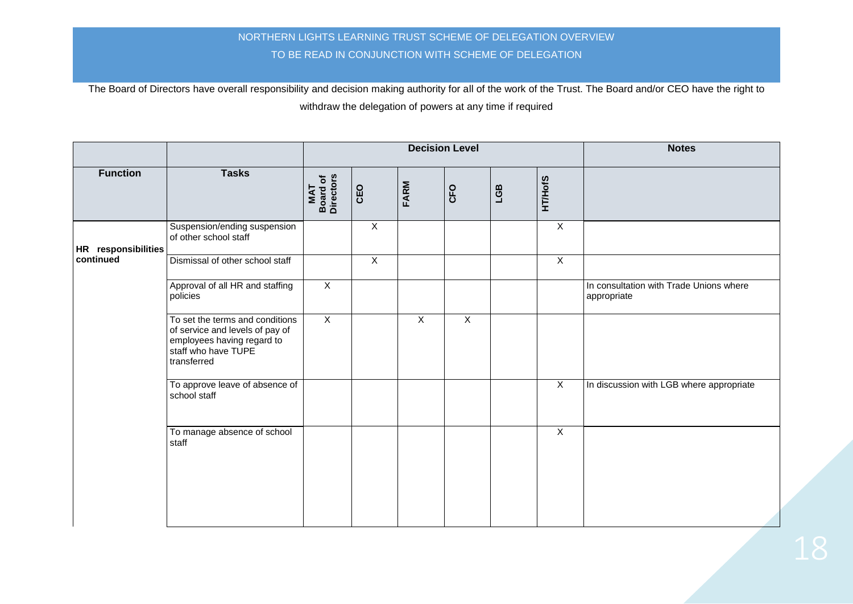|                     |                                                                                                                                        |                              |                |              | <b>Decision Level</b> | <b>Notes</b> |                |                                                        |
|---------------------|----------------------------------------------------------------------------------------------------------------------------------------|------------------------------|----------------|--------------|-----------------------|--------------|----------------|--------------------------------------------------------|
| <b>Function</b>     | <b>Tasks</b>                                                                                                                           | MAT<br>Board of<br>Directors | CEO            | FARM         | CFO                   | LGB          | <b>HT/HofS</b> |                                                        |
| HR responsibilities | Suspension/ending suspension<br>of other school staff                                                                                  |                              | $\overline{X}$ |              |                       |              | $\overline{X}$ |                                                        |
| continued           | Dismissal of other school staff                                                                                                        |                              | $\overline{X}$ |              |                       |              | $\overline{X}$ |                                                        |
|                     | Approval of all HR and staffing<br>policies                                                                                            | $\overline{X}$               |                |              |                       |              |                | In consultation with Trade Unions where<br>appropriate |
|                     | To set the terms and conditions<br>of service and levels of pay of<br>employees having regard to<br>staff who have TUPE<br>transferred | $\overline{X}$               |                | $\mathsf{X}$ | $\overline{X}$        |              |                |                                                        |
|                     | To approve leave of absence of<br>school staff                                                                                         |                              |                |              |                       |              | $\mathsf{X}$   | In discussion with LGB where appropriate               |
|                     | To manage absence of school<br>staff                                                                                                   |                              |                |              |                       |              | $\overline{X}$ |                                                        |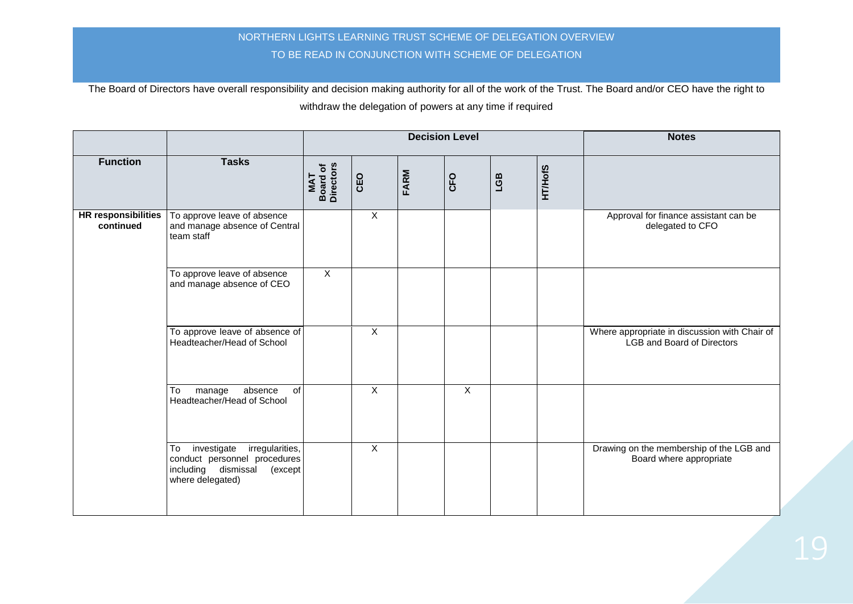|                                         |                                                                                                                            |                              |                |             | <b>Decision Level</b> |     |                | <b>Notes</b>                                                                       |
|-----------------------------------------|----------------------------------------------------------------------------------------------------------------------------|------------------------------|----------------|-------------|-----------------------|-----|----------------|------------------------------------------------------------------------------------|
| <b>Function</b>                         | <b>Tasks</b>                                                                                                               | Board of<br>Directors<br>MAT | CEO            | <b>FARM</b> | CFO                   | EST | <b>HT/HofS</b> |                                                                                    |
| <b>HR</b> responsibilities<br>continued | To approve leave of absence<br>and manage absence of Central<br>team staff                                                 |                              | $\overline{X}$ |             |                       |     |                | Approval for finance assistant can be<br>delegated to CFO                          |
|                                         | To approve leave of absence<br>and manage absence of CEO                                                                   | $\overline{X}$               |                |             |                       |     |                |                                                                                    |
|                                         | To approve leave of absence of<br>Headteacher/Head of School                                                               |                              | $\overline{X}$ |             |                       |     |                | Where appropriate in discussion with Chair of<br><b>LGB and Board of Directors</b> |
|                                         | To<br>of<br>manage<br>absence<br>Headteacher/Head of School                                                                |                              | $\overline{X}$ |             | $\overline{X}$        |     |                |                                                                                    |
|                                         | investigate<br>irregularities,<br>To<br>conduct personnel procedures<br>including dismissal<br>(except<br>where delegated) |                              | $\overline{X}$ |             |                       |     |                | Drawing on the membership of the LGB and<br>Board where appropriate                |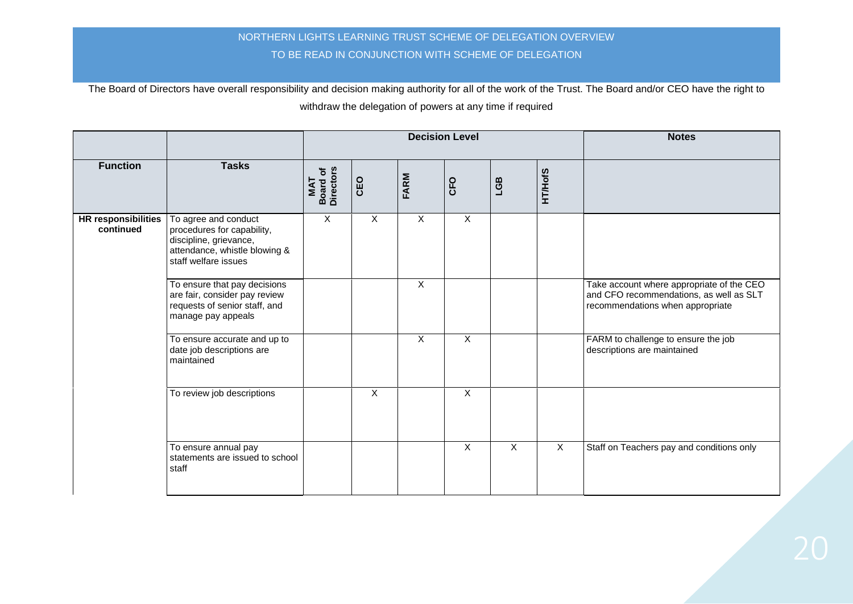|                                         |                                                                                                                                       |                                            |              |                           | <b>Decision Level</b> | <b>Notes</b>              |                |                                                                                                                          |
|-----------------------------------------|---------------------------------------------------------------------------------------------------------------------------------------|--------------------------------------------|--------------|---------------------------|-----------------------|---------------------------|----------------|--------------------------------------------------------------------------------------------------------------------------|
| <b>Function</b>                         | <b>Tasks</b>                                                                                                                          | <b>Board of</b><br>Directors<br><b>NAT</b> | CEO          | FARM                      | CFO                   | LGB                       | <b>HT/HofS</b> |                                                                                                                          |
| <b>HR responsibilities</b><br>continued | To agree and conduct<br>procedures for capability,<br>discipline, grievance,<br>attendance, whistle blowing &<br>staff welfare issues | $\sf X$                                    | $\times$     | $\times$                  | $\times$              |                           |                |                                                                                                                          |
|                                         | To ensure that pay decisions<br>are fair, consider pay review<br>requests of senior staff, and<br>manage pay appeals                  |                                            |              | $\overline{X}$            |                       |                           |                | Take account where appropriate of the CEO<br>and CFO recommendations, as well as SLT<br>recommendations when appropriate |
|                                         | To ensure accurate and up to<br>date job descriptions are<br>maintained                                                               |                                            |              | $\boldsymbol{\mathsf{X}}$ | $\mathsf{X}$          |                           |                | FARM to challenge to ensure the job<br>descriptions are maintained                                                       |
|                                         | To review job descriptions                                                                                                            |                                            | $\mathsf{X}$ |                           | $\overline{X}$        |                           |                |                                                                                                                          |
|                                         | To ensure annual pay<br>statements are issued to school<br>staff                                                                      |                                            |              |                           | $\mathsf{X}$          | $\boldsymbol{\mathsf{X}}$ | $\mathsf{X}$   | Staff on Teachers pay and conditions only                                                                                |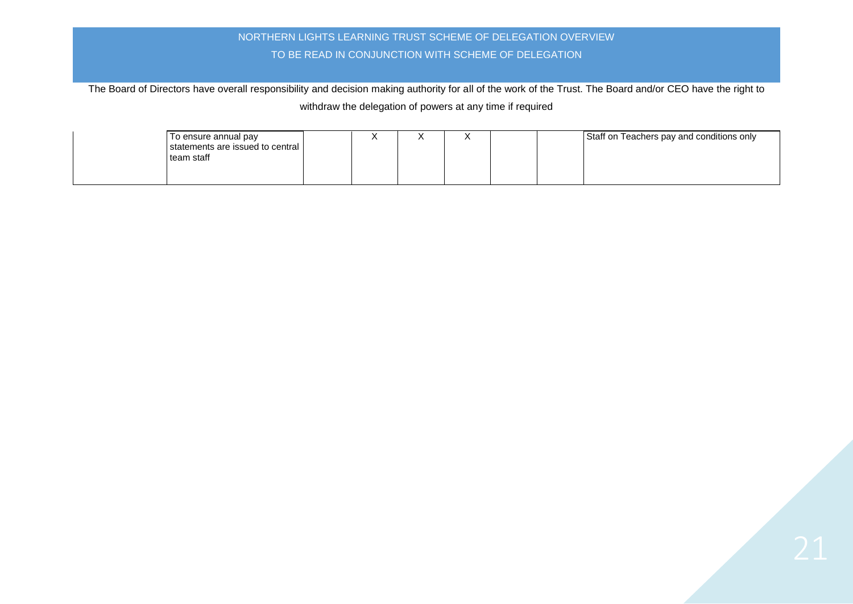| To ensure annual pay<br>statements are issued to central<br>team staff |  |  |  | Staff on Teachers pay and conditions only |
|------------------------------------------------------------------------|--|--|--|-------------------------------------------|
|                                                                        |  |  |  |                                           |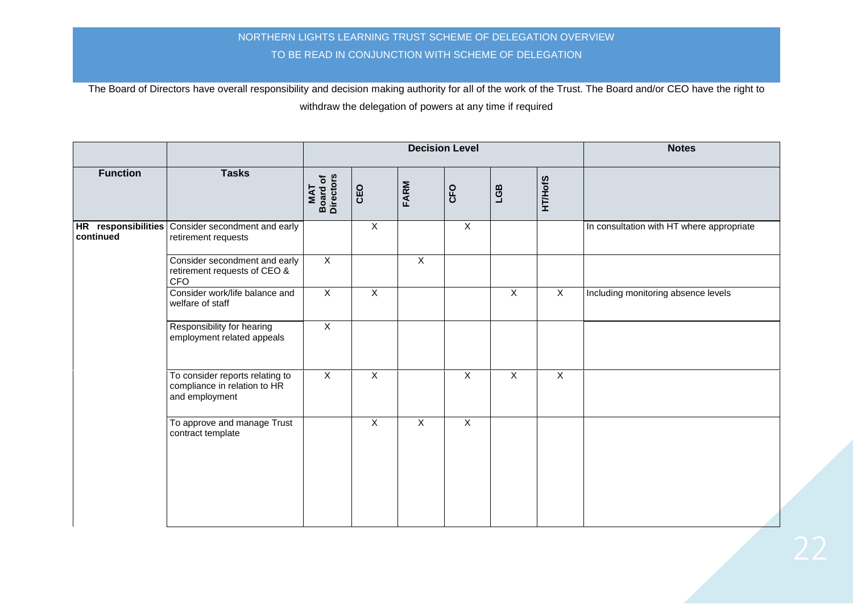|                        |                                                                                   |                                      |                |                | <b>Decision Level</b> | <b>Notes</b>   |                |                                           |
|------------------------|-----------------------------------------------------------------------------------|--------------------------------------|----------------|----------------|-----------------------|----------------|----------------|-------------------------------------------|
| <b>Function</b>        | <b>Tasks</b>                                                                      | <b>Board of<br/>Directors</b><br>MAT | CEO            | FARM           | CFO                   | LGB            | <b>HT/HofS</b> |                                           |
| <b>HR</b><br>continued | responsibilities Consider secondment and early<br>retirement requests             |                                      | $\overline{X}$ |                | $\overline{X}$        |                |                | In consultation with HT where appropriate |
|                        | Consider secondment and early<br>retirement requests of CEO &<br><b>CFO</b>       | $\overline{X}$                       |                | $\overline{X}$ |                       |                |                |                                           |
|                        | Consider work/life balance and<br>welfare of staff                                | $\overline{X}$                       | $\mathsf{X}$   |                |                       | $\mathsf X$    | X              | Including monitoring absence levels       |
|                        | Responsibility for hearing<br>employment related appeals                          | $\overline{X}$                       |                |                |                       |                |                |                                           |
|                        | To consider reports relating to<br>compliance in relation to HR<br>and employment | $\overline{X}$                       | $\overline{X}$ |                | $\overline{X}$        | $\overline{X}$ | $\overline{X}$ |                                           |
|                        | To approve and manage Trust<br>contract template                                  |                                      | $\mathsf{X}$   | $\mathsf{X}$   | $\overline{X}$        |                |                |                                           |
|                        |                                                                                   |                                      |                |                |                       |                |                |                                           |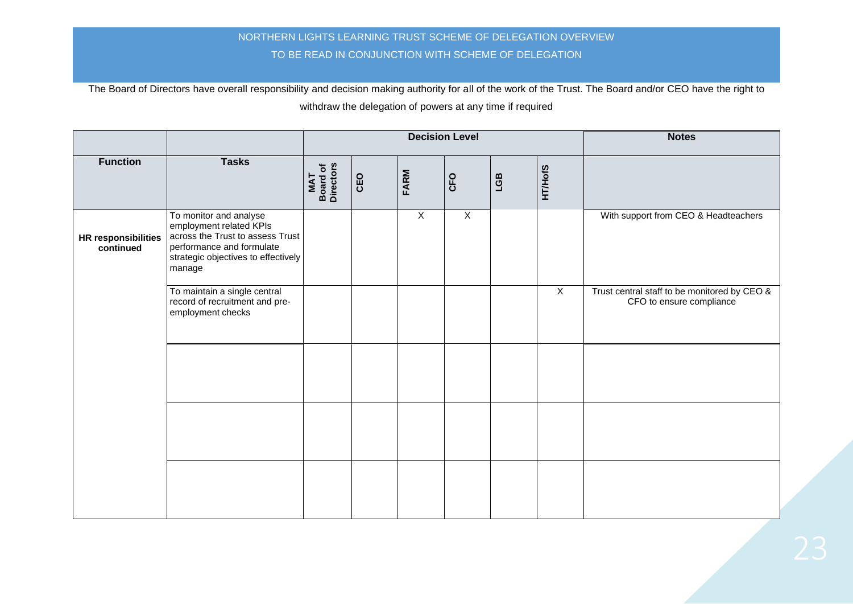|                                         |                                                                                                                                                                     |                              |     | <b>Decision Level</b> | <b>Notes</b>   |     |                |                                                                          |
|-----------------------------------------|---------------------------------------------------------------------------------------------------------------------------------------------------------------------|------------------------------|-----|-----------------------|----------------|-----|----------------|--------------------------------------------------------------------------|
| <b>Function</b>                         | <b>Tasks</b>                                                                                                                                                        | Board of<br>Directors<br>MAT | CEO | FARM                  | CFO            | LGB | <b>HT/HofS</b> |                                                                          |
| <b>HR responsibilities</b><br>continued | To monitor and analyse<br>employment related KPIs<br>across the Trust to assess Trust<br>performance and formulate<br>strategic objectives to effectively<br>manage |                              |     | $\overline{X}$        | $\overline{X}$ |     |                | With support from CEO & Headteachers                                     |
|                                         | To maintain a single central<br>record of recruitment and pre-<br>employment checks                                                                                 |                              |     |                       |                |     | $\mathsf{X}$   | Trust central staff to be monitored by CEO &<br>CFO to ensure compliance |
|                                         |                                                                                                                                                                     |                              |     |                       |                |     |                |                                                                          |
|                                         |                                                                                                                                                                     |                              |     |                       |                |     |                |                                                                          |
|                                         |                                                                                                                                                                     |                              |     |                       |                |     |                |                                                                          |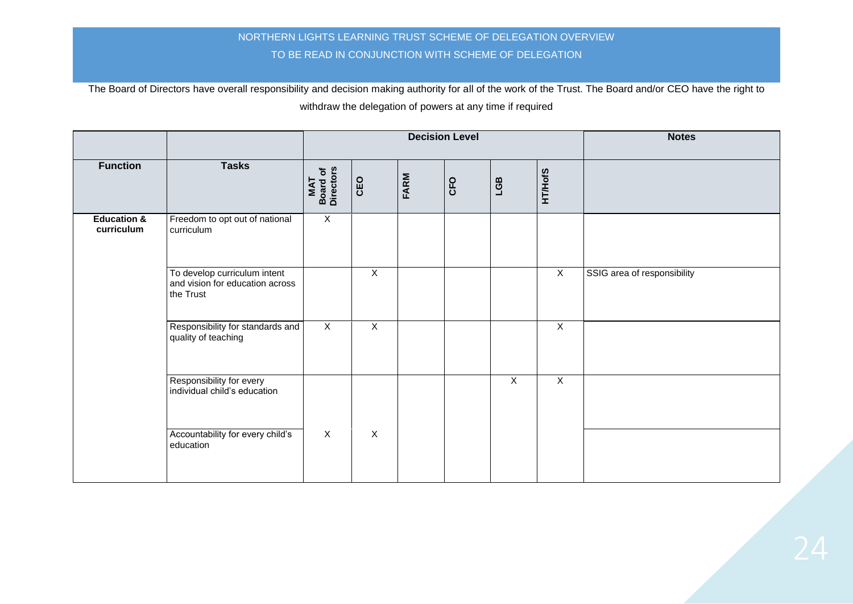|                                      |                                                                              |                              |                |      | <b>Decision Level</b> | <b>Notes</b>   |                |                             |
|--------------------------------------|------------------------------------------------------------------------------|------------------------------|----------------|------|-----------------------|----------------|----------------|-----------------------------|
| <b>Function</b>                      | <b>Tasks</b>                                                                 | Board of<br>Directors<br>MAT | CEO            | FARM | CFO                   | LGB            | <b>HT/HofS</b> |                             |
| <b>Education &amp;</b><br>curriculum | Freedom to opt out of national<br>curriculum                                 | $\mathsf{X}$                 |                |      |                       |                |                |                             |
|                                      | To develop curriculum intent<br>and vision for education across<br>the Trust |                              | $\overline{X}$ |      |                       |                | $\overline{X}$ | SSIG area of responsibility |
|                                      | Responsibility for standards and<br>quality of teaching                      | $\mathsf X$                  | $\mathsf X$    |      |                       |                | $\mathsf X$    |                             |
|                                      | Responsibility for every<br>individual child's education                     |                              |                |      |                       | $\overline{X}$ | $\overline{X}$ |                             |
|                                      | Accountability for every child's<br>education                                | $\overline{X}$               | $\overline{X}$ |      |                       |                |                |                             |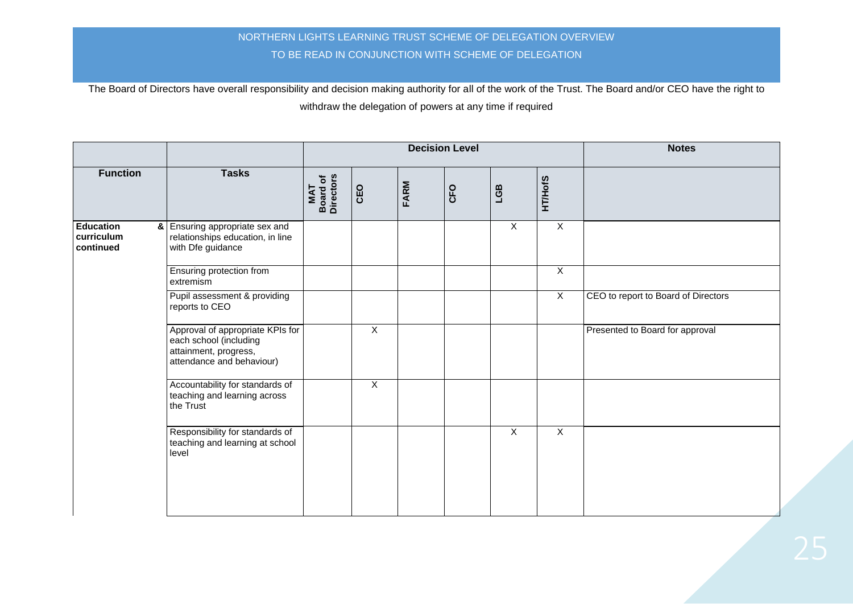|                                             |                                                                                                                  |                                      |                |      | <b>Decision Level</b> | <b>Notes</b>   |                |                                     |
|---------------------------------------------|------------------------------------------------------------------------------------------------------------------|--------------------------------------|----------------|------|-----------------------|----------------|----------------|-------------------------------------|
| <b>Function</b>                             | <b>Tasks</b>                                                                                                     | <b>Board of<br/>Directors</b><br>TAN | CEO            | FARM | CFO                   | LGB            | <b>HT/HofS</b> |                                     |
| <b>Education</b><br>curriculum<br>continued | & Ensuring appropriate sex and<br>relationships education, in line<br>with Dfe guidance                          |                                      |                |      |                       | $\overline{X}$ | $\overline{X}$ |                                     |
|                                             | Ensuring protection from<br>extremism                                                                            |                                      |                |      |                       |                | X              |                                     |
|                                             | Pupil assessment & providing<br>reports to CEO                                                                   |                                      |                |      |                       |                | $\overline{X}$ | CEO to report to Board of Directors |
|                                             | Approval of appropriate KPIs for<br>each school (including<br>attainment, progress,<br>attendance and behaviour) |                                      | $\overline{X}$ |      |                       |                |                | Presented to Board for approval     |
|                                             | Accountability for standards of<br>teaching and learning across<br>the Trust                                     |                                      | $\overline{X}$ |      |                       |                |                |                                     |
|                                             | Responsibility for standards of<br>teaching and learning at school<br>level                                      |                                      |                |      |                       | $\mathsf{X}$   | $\mathsf X$    |                                     |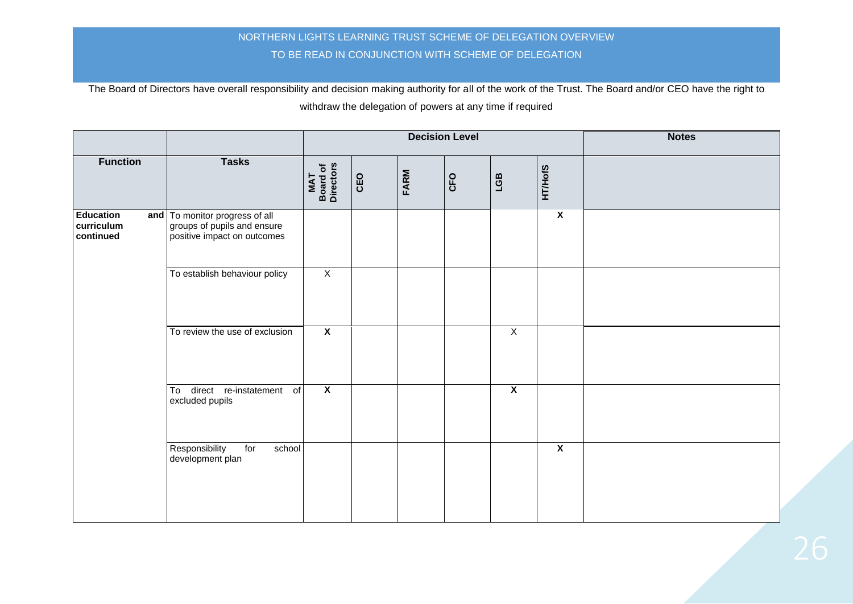|                                             |                                                                                              |                              |     |      | <b>Decision Level</b> | <b>Notes</b>            |                         |  |
|---------------------------------------------|----------------------------------------------------------------------------------------------|------------------------------|-----|------|-----------------------|-------------------------|-------------------------|--|
| <b>Function</b>                             | <b>Tasks</b>                                                                                 | MAT<br>Board of<br>Directors | CEO | FARM | CFO                   | LGB                     | <b>HT/HofS</b>          |  |
| <b>Education</b><br>curriculum<br>continued | and To monitor progress of all<br>groups of pupils and ensure<br>positive impact on outcomes |                              |     |      |                       |                         | $\overline{\mathbf{x}}$ |  |
|                                             | To establish behaviour policy                                                                | $\overline{X}$               |     |      |                       |                         |                         |  |
|                                             | To review the use of exclusion                                                               | $\overline{\mathbf{X}}$      |     |      |                       | $\overline{X}$          |                         |  |
|                                             | To direct re-instatement of<br>excluded pupils                                               | $\overline{\mathbf{X}}$      |     |      |                       | $\overline{\mathbf{X}}$ |                         |  |
|                                             | Responsibility<br>for<br>school<br>development plan                                          |                              |     |      |                       |                         | $\overline{\mathbf{x}}$ |  |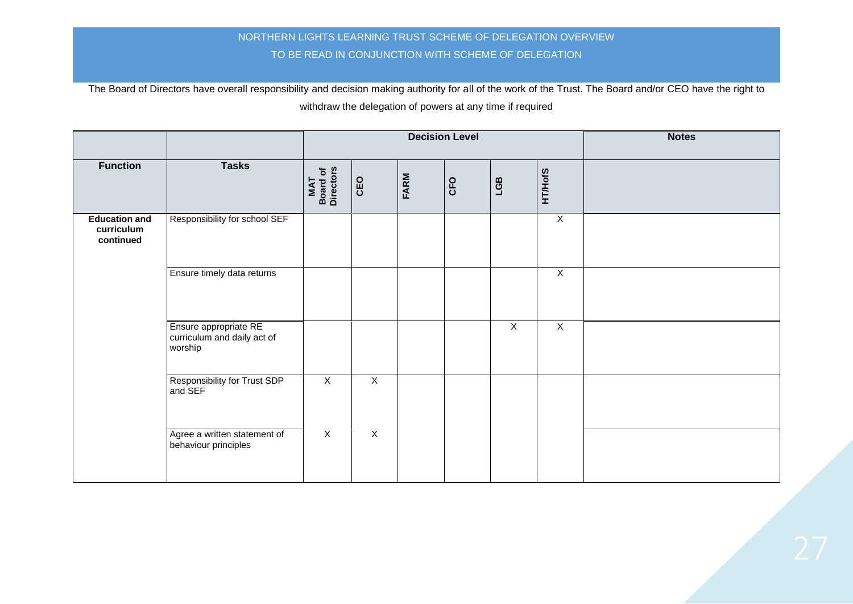|                                                 |                                                                 |                              |                |      | <b>Decision Level</b> | <b>Notes</b>   |                |  |
|-------------------------------------------------|-----------------------------------------------------------------|------------------------------|----------------|------|-----------------------|----------------|----------------|--|
| <b>Function</b>                                 | <b>Tasks</b>                                                    | MAT<br>Board of<br>Directors | CEO            | FARM | CFO                   | LGB            | <b>HT/HofS</b> |  |
| <b>Education and</b><br>curriculum<br>continued | Responsibility for school SEF                                   |                              |                |      |                       |                | $\overline{X}$ |  |
|                                                 | Ensure timely data returns                                      |                              |                |      |                       |                | $\overline{X}$ |  |
|                                                 | Ensure appropriate RE<br>curriculum and daily act of<br>worship |                              |                |      |                       | $\overline{X}$ | $\overline{X}$ |  |
|                                                 | <b>Responsibility for Trust SDP</b><br>and SEF                  | $\overline{X}$               | $\overline{X}$ |      |                       |                |                |  |
|                                                 | Agree a written statement of<br>behaviour principles            | $\overline{X}$               | $\overline{X}$ |      |                       |                |                |  |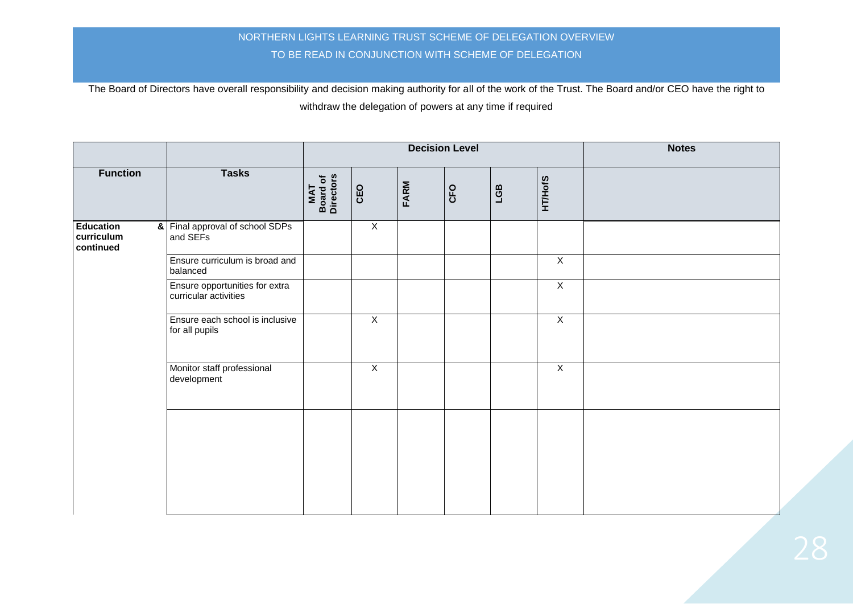|                                             |                                                         |                              |                |      | <b>Decision Level</b> | <b>Notes</b> |                |  |
|---------------------------------------------|---------------------------------------------------------|------------------------------|----------------|------|-----------------------|--------------|----------------|--|
| <b>Function</b>                             | <b>Tasks</b>                                            | MAT<br>Board of<br>Directors | CEO            | FARM | CFO                   | LGB          | <b>HT/HofS</b> |  |
| <b>Education</b><br>curriculum<br>continued | & Final approval of school SDPs<br>and SEFs             |                              | $\overline{X}$ |      |                       |              |                |  |
|                                             | Ensure curriculum is broad and<br>balanced              |                              |                |      |                       |              | $\overline{X}$ |  |
|                                             | Ensure opportunities for extra<br>curricular activities |                              |                |      |                       |              | $\overline{X}$ |  |
|                                             | Ensure each school is inclusive<br>for all pupils       |                              | $\overline{X}$ |      |                       |              | $\overline{X}$ |  |
|                                             | Monitor staff professional<br>development               |                              | $\overline{X}$ |      |                       |              | $\overline{X}$ |  |
|                                             |                                                         |                              |                |      |                       |              |                |  |
|                                             |                                                         |                              |                |      |                       |              |                |  |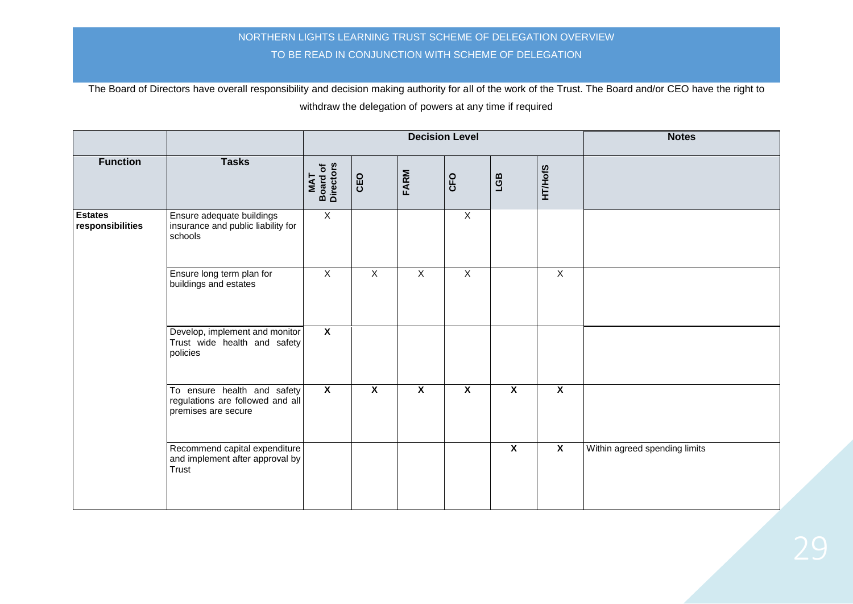|                                    |                                                                                        | <b>Decision Level</b>        |                         |                         |                         |                         |                         | <b>Notes</b>                  |
|------------------------------------|----------------------------------------------------------------------------------------|------------------------------|-------------------------|-------------------------|-------------------------|-------------------------|-------------------------|-------------------------------|
| <b>Function</b>                    | <b>Tasks</b>                                                                           | MAT<br>Board of<br>Directors | CEO                     | FARM                    | CFO                     | LGB                     | <b>HT/HofS</b>          |                               |
| <b>Estates</b><br>responsibilities | Ensure adequate buildings<br>insurance and public liability for<br>schools             | $\overline{X}$               |                         |                         | $\overline{X}$          |                         |                         |                               |
|                                    | Ensure long term plan for<br>buildings and estates                                     | $\overline{X}$               | $\overline{X}$          | $\overline{X}$          | $\overline{X}$          |                         | $\overline{X}$          |                               |
|                                    | Develop, implement and monitor<br>Trust wide health and safety<br>policies             | $\overline{\mathbf{x}}$      |                         |                         |                         |                         |                         |                               |
|                                    | To ensure health and safety<br>regulations are followed and all<br>premises are secure | $\overline{\mathbf{X}}$      | $\overline{\mathbf{X}}$ | $\overline{\mathbf{x}}$ | $\overline{\mathbf{x}}$ | $\overline{\mathbf{x}}$ | $\overline{\mathbf{X}}$ |                               |
|                                    | Recommend capital expenditure<br>and implement after approval by<br>Trust              |                              |                         |                         |                         | $\overline{\mathbf{x}}$ | $\overline{\mathbf{X}}$ | Within agreed spending limits |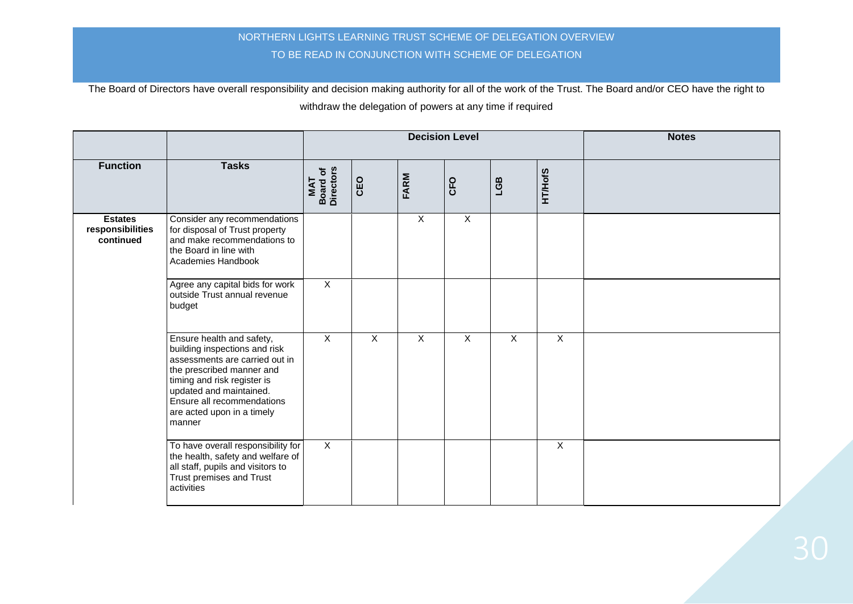|                                                 |                                                                                                                                                                                                                                                           |                                     |                | <b>Decision Level</b>     |                | <b>Notes</b>            |                         |  |
|-------------------------------------------------|-----------------------------------------------------------------------------------------------------------------------------------------------------------------------------------------------------------------------------------------------------------|-------------------------------------|----------------|---------------------------|----------------|-------------------------|-------------------------|--|
| <b>Function</b>                                 | <b>Tasks</b>                                                                                                                                                                                                                                              | <b>Board of</b><br>Directors<br>MAT | CEO            | FARM                      | CFO            | LGB                     | <b>HT/HofS</b>          |  |
| <b>Estates</b><br>responsibilities<br>continued | Consider any recommendations<br>for disposal of Trust property<br>and make recommendations to<br>the Board in line with<br>Academies Handbook                                                                                                             |                                     |                | $\boldsymbol{\mathsf{X}}$ | $\mathsf{X}$   |                         |                         |  |
|                                                 | Agree any capital bids for work<br>outside Trust annual revenue<br>budget                                                                                                                                                                                 | $\overline{X}$                      |                |                           |                |                         |                         |  |
|                                                 | Ensure health and safety,<br>building inspections and risk<br>assessments are carried out in<br>the prescribed manner and<br>timing and risk register is<br>updated and maintained.<br>Ensure all recommendations<br>are acted upon in a timely<br>manner | $\overline{X}$                      | $\overline{X}$ | $\overline{X}$            | $\overline{X}$ | $\overline{\mathsf{x}}$ | $\overline{\mathsf{x}}$ |  |
|                                                 | To have overall responsibility for<br>the health, safety and welfare of<br>all staff, pupils and visitors to<br>Trust premises and Trust<br>activities                                                                                                    | $\overline{X}$                      |                |                           |                |                         | $\overline{X}$          |  |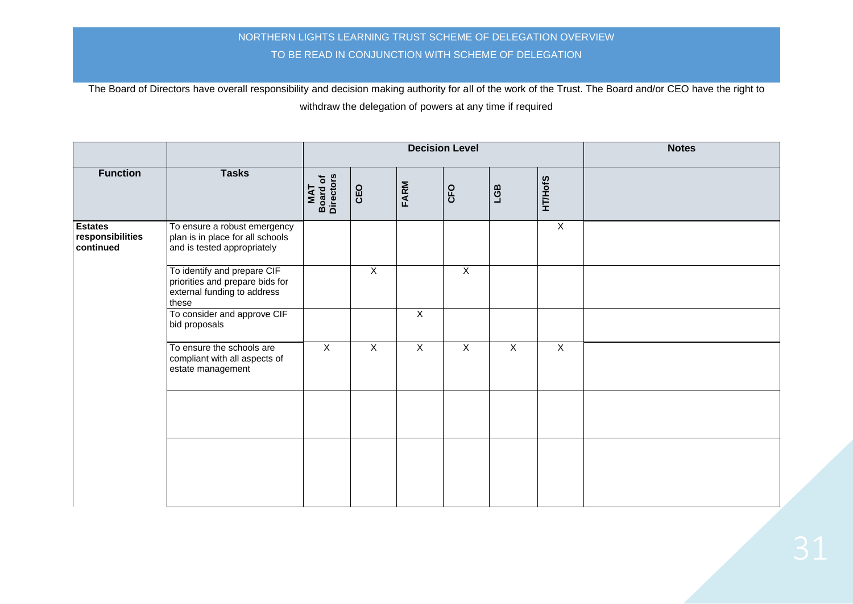|                                                 |                                                                                                        |                                      |                |                | <b>Decision Level</b> | <b>Notes</b> |                |  |
|-------------------------------------------------|--------------------------------------------------------------------------------------------------------|--------------------------------------|----------------|----------------|-----------------------|--------------|----------------|--|
| <b>Function</b>                                 | <b>Tasks</b>                                                                                           | <b>Board of<br/>Directors</b><br>MAT | CEO            | <b>FARM</b>    | CFO                   | LGB          | <b>HT/HofS</b> |  |
| <b>Estates</b><br>responsibilities<br>continued | To ensure a robust emergency<br>plan is in place for all schools<br>and is tested appropriately        |                                      |                |                |                       |              | $\overline{X}$ |  |
|                                                 | To identify and prepare CIF<br>priorities and prepare bids for<br>external funding to address<br>these |                                      | $\overline{X}$ |                | $\overline{X}$        |              |                |  |
|                                                 | To consider and approve CIF<br>bid proposals                                                           |                                      |                | $\overline{X}$ |                       |              |                |  |
|                                                 | To ensure the schools are<br>compliant with all aspects of<br>estate management                        | $\overline{X}$                       | $\overline{X}$ | $\overline{X}$ | $\mathsf X$           | $\mathsf{X}$ | $\mathsf{X}$   |  |
|                                                 |                                                                                                        |                                      |                |                |                       |              |                |  |
|                                                 |                                                                                                        |                                      |                |                |                       |              |                |  |
|                                                 |                                                                                                        |                                      |                |                |                       |              |                |  |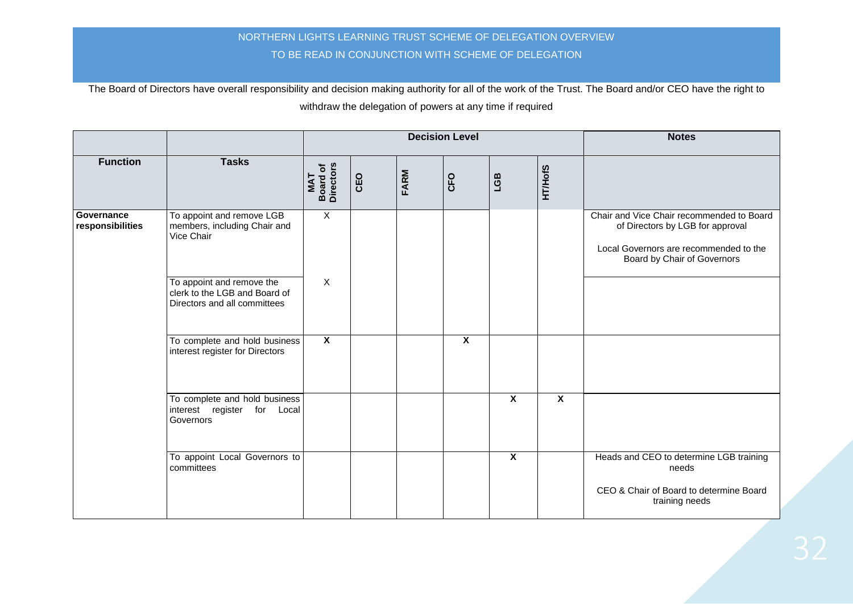|                                |                                                                                            |                                     |     |      | <b>Decision Level</b>   | <b>Notes</b>            |                         |                                                                                                                                                        |
|--------------------------------|--------------------------------------------------------------------------------------------|-------------------------------------|-----|------|-------------------------|-------------------------|-------------------------|--------------------------------------------------------------------------------------------------------------------------------------------------------|
| <b>Function</b>                | <b>Tasks</b>                                                                               | <b>Board of</b><br>Directors<br>MAT | CEO | FARM | CFO                     | LGB                     | <b>HT/HofS</b>          |                                                                                                                                                        |
| Governance<br>responsibilities | To appoint and remove LGB<br>members, including Chair and<br>Vice Chair                    | $\overline{X}$                      |     |      |                         |                         |                         | Chair and Vice Chair recommended to Board<br>of Directors by LGB for approval<br>Local Governors are recommended to the<br>Board by Chair of Governors |
|                                | To appoint and remove the<br>clerk to the LGB and Board of<br>Directors and all committees | $\overline{X}$                      |     |      |                         |                         |                         |                                                                                                                                                        |
|                                | To complete and hold business<br>interest register for Directors                           | $\overline{\mathbf{x}}$             |     |      | $\overline{\mathbf{x}}$ |                         |                         |                                                                                                                                                        |
|                                | To complete and hold business<br>interest register<br>for Local<br>Governors               |                                     |     |      |                         | $\overline{\mathbf{x}}$ | $\overline{\mathbf{x}}$ |                                                                                                                                                        |
|                                | To appoint Local Governors to<br>committees                                                |                                     |     |      |                         | $\overline{\mathbf{x}}$ |                         | Heads and CEO to determine LGB training<br>needs<br>CEO & Chair of Board to determine Board<br>training needs                                          |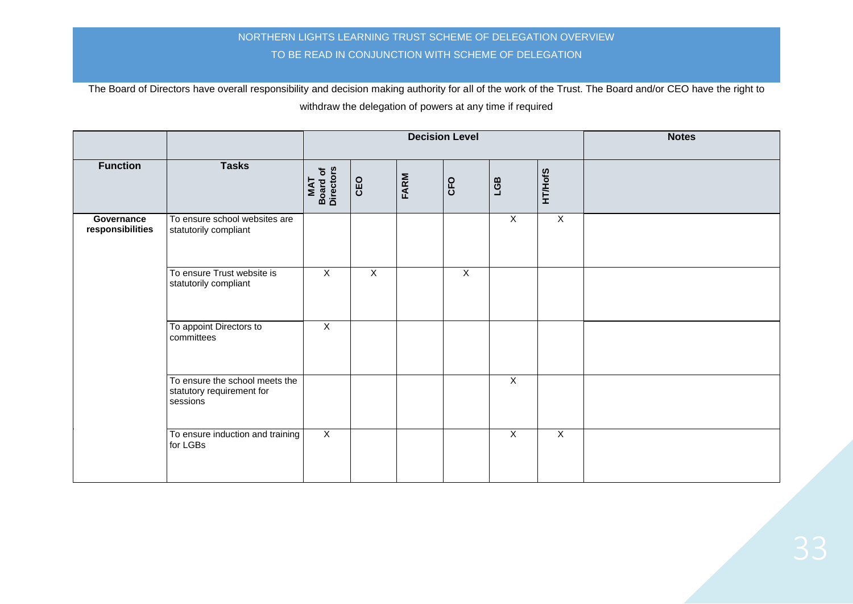|                                |                                                                         |                              |              |      | <b>Decision Level</b> | <b>Notes</b>   |                |  |
|--------------------------------|-------------------------------------------------------------------------|------------------------------|--------------|------|-----------------------|----------------|----------------|--|
| <b>Function</b>                | <b>Tasks</b>                                                            | Board of<br>Directors<br>MAT | CEO          | FARM | CFO                   | LGB            | <b>HT/HofS</b> |  |
| Governance<br>responsibilities | To ensure school websites are<br>statutorily compliant                  |                              |              |      |                       | $\mathsf X$    | $\mathsf X$    |  |
|                                | To ensure Trust website is<br>statutorily compliant                     | $\mathsf{X}$                 | $\mathsf{X}$ |      | $\overline{X}$        |                |                |  |
|                                | To appoint Directors to<br>committees                                   | $\mathsf X$                  |              |      |                       |                |                |  |
|                                | To ensure the school meets the<br>statutory requirement for<br>sessions |                              |              |      |                       | $\overline{X}$ |                |  |
|                                | To ensure induction and training<br>for LGBs                            | $\overline{X}$               |              |      |                       | $\overline{X}$ | $\overline{X}$ |  |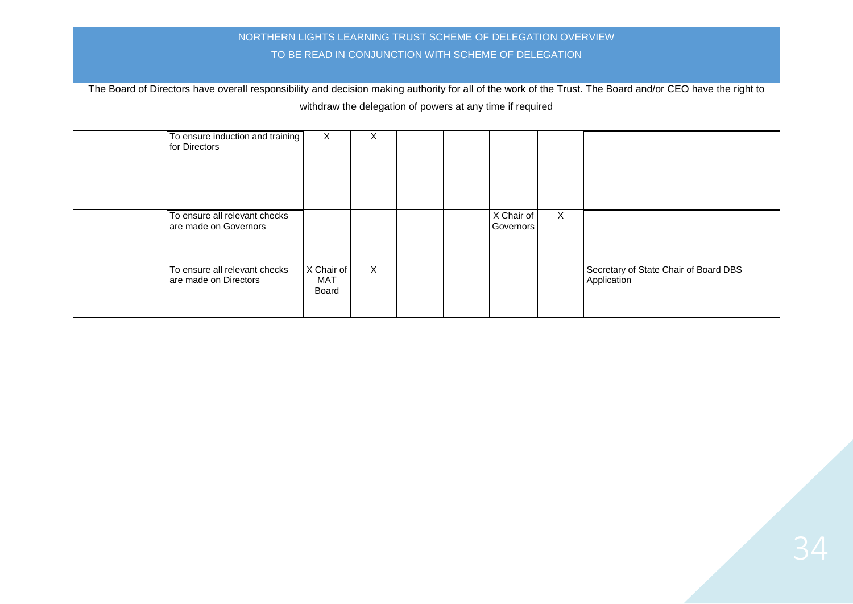| To ensure induction and training<br>for Directors      | X                          | X            |  |                         |              |                                                      |
|--------------------------------------------------------|----------------------------|--------------|--|-------------------------|--------------|------------------------------------------------------|
| To ensure all relevant checks<br>are made on Governors |                            |              |  | X Chair of<br>Governors | $\mathsf{X}$ |                                                      |
| To ensure all relevant checks<br>are made on Directors | X Chair of<br>MAT<br>Board | $\mathsf{X}$ |  |                         |              | Secretary of State Chair of Board DBS<br>Application |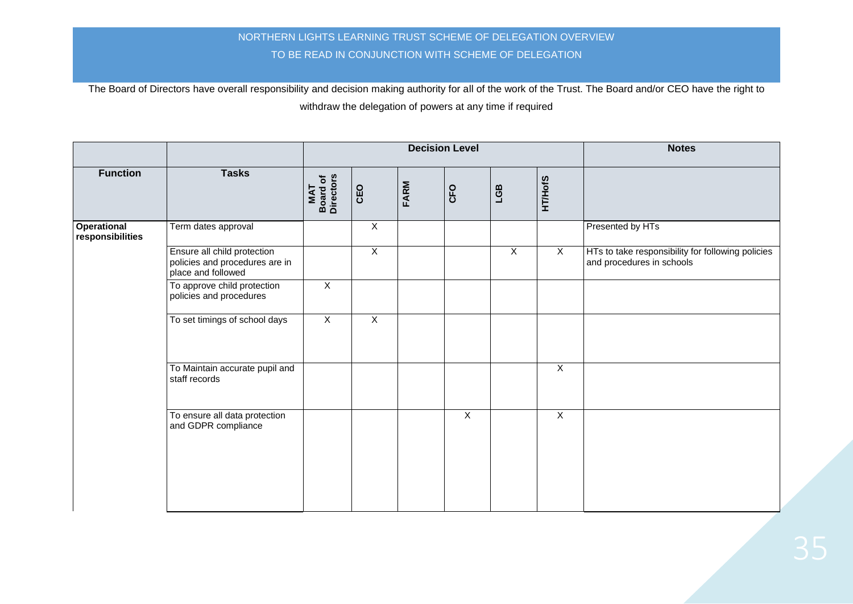|                                        |                                                                                     |                              |                |      | <b>Decision Level</b> |                |                | <b>Notes</b>                                                                   |
|----------------------------------------|-------------------------------------------------------------------------------------|------------------------------|----------------|------|-----------------------|----------------|----------------|--------------------------------------------------------------------------------|
| <b>Function</b>                        | <b>Tasks</b>                                                                        | MAT<br>Board of<br>Directors | CEO            | FARM | CFO                   | LGB            | <b>HT/HofS</b> |                                                                                |
| <b>Operational</b><br>responsibilities | Term dates approval                                                                 |                              | $\overline{X}$ |      |                       |                |                | Presented by HTs                                                               |
|                                        | Ensure all child protection<br>policies and procedures are in<br>place and followed |                              | $\overline{X}$ |      |                       | $\overline{X}$ | $\mathsf{X}$   | HTs to take responsibility for following policies<br>and procedures in schools |
|                                        | To approve child protection<br>policies and procedures                              | $\overline{X}$               |                |      |                       |                |                |                                                                                |
|                                        | To set timings of school days                                                       | $\overline{X}$               | $\overline{X}$ |      |                       |                |                |                                                                                |
|                                        | To Maintain accurate pupil and<br>staff records                                     |                              |                |      |                       |                | $\overline{X}$ |                                                                                |
|                                        | To ensure all data protection<br>and GDPR compliance                                |                              |                |      | $\overline{X}$        |                | $\overline{X}$ |                                                                                |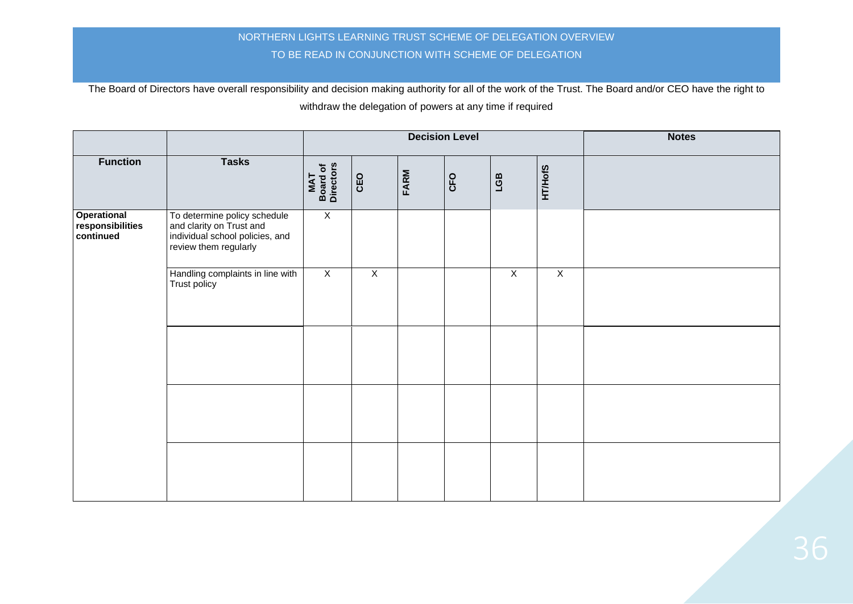|                                              |                                                                                                                      |                              |                |             | <b>Decision Level</b> | <b>Notes</b>   |                |  |
|----------------------------------------------|----------------------------------------------------------------------------------------------------------------------|------------------------------|----------------|-------------|-----------------------|----------------|----------------|--|
| <b>Function</b>                              | <b>Tasks</b>                                                                                                         | MAT<br>Board of<br>Directors | CEO            | <b>FARM</b> | CFO                   | LGB            | <b>HT/HofS</b> |  |
| Operational<br>responsibilities<br>continued | To determine policy schedule<br>and clarity on Trust and<br>individual school policies, and<br>review them regularly | $\overline{X}$               |                |             |                       |                |                |  |
|                                              | Handling complaints in line with<br>Trust policy                                                                     | $\overline{X}$               | $\overline{X}$ |             |                       | $\overline{X}$ | $\overline{X}$ |  |
|                                              |                                                                                                                      |                              |                |             |                       |                |                |  |
|                                              |                                                                                                                      |                              |                |             |                       |                |                |  |
|                                              |                                                                                                                      |                              |                |             |                       |                |                |  |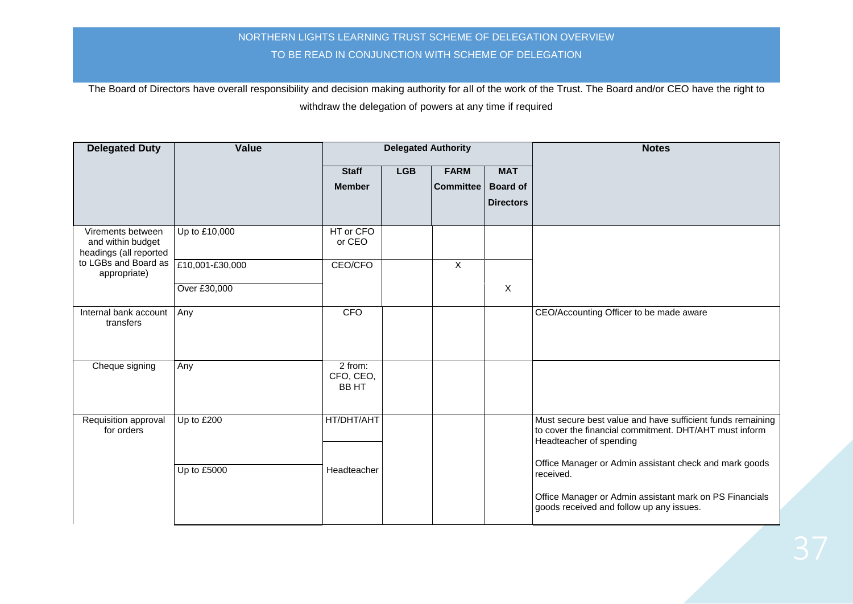| <b>Delegated Duty</b>                                            | Value           | <b>Delegated Authority</b>           |            |                  |                  | <b>Notes</b>                                                                                                                                    |
|------------------------------------------------------------------|-----------------|--------------------------------------|------------|------------------|------------------|-------------------------------------------------------------------------------------------------------------------------------------------------|
|                                                                  |                 | <b>Staff</b>                         | <b>LGB</b> | <b>FARM</b>      | <b>MAT</b>       |                                                                                                                                                 |
|                                                                  |                 | <b>Member</b>                        |            | <b>Committee</b> | <b>Board of</b>  |                                                                                                                                                 |
|                                                                  |                 |                                      |            |                  | <b>Directors</b> |                                                                                                                                                 |
|                                                                  |                 |                                      |            |                  |                  |                                                                                                                                                 |
| Virements between<br>and within budget<br>headings (all reported | Up to £10,000   | HT or CFO<br>or CEO                  |            |                  |                  |                                                                                                                                                 |
| to LGBs and Board as<br>appropriate)                             | £10,001-£30,000 | CEO/CFO                              |            | $\mathsf{X}$     |                  |                                                                                                                                                 |
|                                                                  | Over £30,000    |                                      |            |                  | $\mathsf X$      |                                                                                                                                                 |
| Internal bank account<br>transfers                               | Any             | <b>CFO</b>                           |            |                  |                  | CEO/Accounting Officer to be made aware                                                                                                         |
| Cheque signing                                                   | Any             | 2 from:<br>CFO, CEO,<br><b>BB HT</b> |            |                  |                  |                                                                                                                                                 |
| Requisition approval<br>for orders                               | Up to £200      | HT/DHT/AHT                           |            |                  |                  | Must secure best value and have sufficient funds remaining<br>to cover the financial commitment. DHT/AHT must inform<br>Headteacher of spending |
|                                                                  | Up to £5000     | Headteacher                          |            |                  |                  | Office Manager or Admin assistant check and mark goods<br>received.                                                                             |
|                                                                  |                 |                                      |            |                  |                  | Office Manager or Admin assistant mark on PS Financials<br>goods received and follow up any issues.                                             |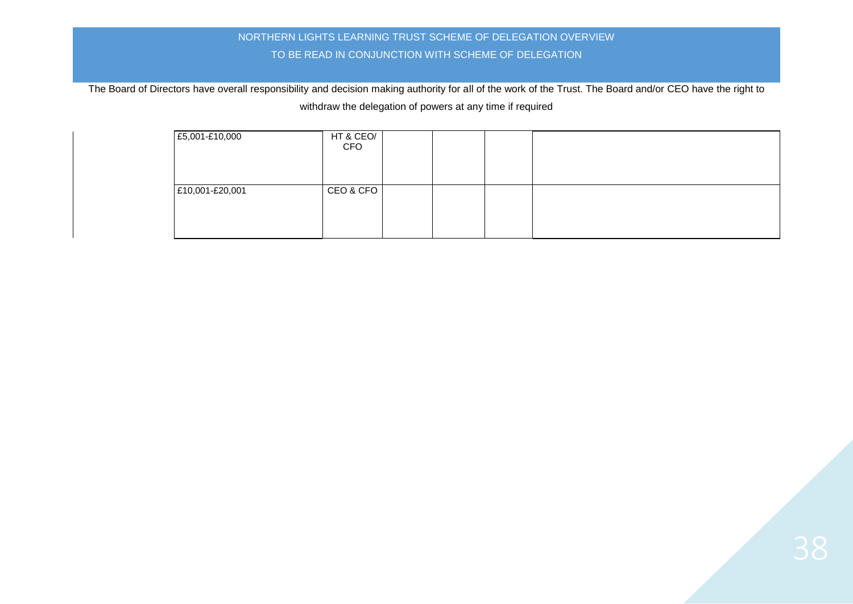| £5,001-£10,000  | HT & CEO/<br><b>CFO</b> |  |  |
|-----------------|-------------------------|--|--|
| £10,001-£20,001 | CEO & CFO               |  |  |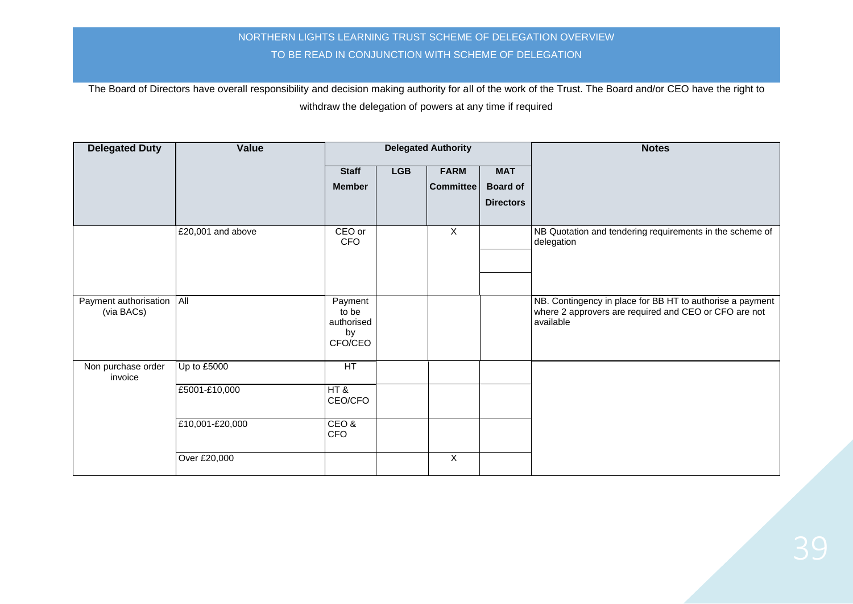| <b>Delegated Duty</b>               | Value             | <b>Delegated Authority</b>                      |            |                  |                  | <b>Notes</b>                                                                                                                    |
|-------------------------------------|-------------------|-------------------------------------------------|------------|------------------|------------------|---------------------------------------------------------------------------------------------------------------------------------|
|                                     |                   | <b>Staff</b>                                    | <b>LGB</b> | <b>FARM</b>      | <b>MAT</b>       |                                                                                                                                 |
|                                     |                   | <b>Member</b>                                   |            | <b>Committee</b> | <b>Board of</b>  |                                                                                                                                 |
|                                     |                   |                                                 |            |                  | <b>Directors</b> |                                                                                                                                 |
|                                     | £20,001 and above | CEO or<br><b>CFO</b>                            |            | $\mathsf{X}$     |                  | NB Quotation and tendering requirements in the scheme of<br>delegation                                                          |
| Payment authorisation<br>(via BACs) | All               | Payment<br>to be<br>authorised<br>by<br>CFO/CEO |            |                  |                  | NB. Contingency in place for BB HT to authorise a payment<br>where 2 approvers are required and CEO or CFO are not<br>available |
| Non purchase order<br>invoice       | Up to £5000       | HT                                              |            |                  |                  |                                                                                                                                 |
|                                     | £5001-£10,000     | HT &<br>CEO/CFO                                 |            |                  |                  |                                                                                                                                 |
|                                     | £10,001-£20,000   | CEO&<br><b>CFO</b>                              |            |                  |                  |                                                                                                                                 |
|                                     | Over £20,000      |                                                 |            | X                |                  |                                                                                                                                 |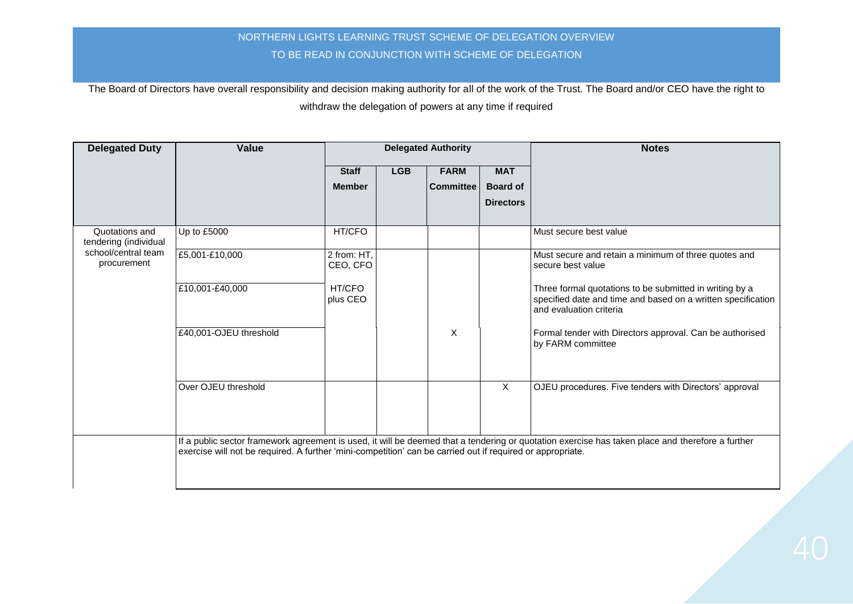| <b>Delegated Duty</b>                   | Value                                                                                                      |                         |            | <b>Delegated Authority</b> |                  | <b>Notes</b>                                                                                                                                       |
|-----------------------------------------|------------------------------------------------------------------------------------------------------------|-------------------------|------------|----------------------------|------------------|----------------------------------------------------------------------------------------------------------------------------------------------------|
|                                         |                                                                                                            | <b>Staff</b>            | <b>LGB</b> | <b>FARM</b>                | <b>MAT</b>       |                                                                                                                                                    |
|                                         |                                                                                                            | <b>Member</b>           |            | <b>Committee</b>           | <b>Board of</b>  |                                                                                                                                                    |
|                                         |                                                                                                            |                         |            |                            | <b>Directors</b> |                                                                                                                                                    |
|                                         |                                                                                                            |                         |            |                            |                  |                                                                                                                                                    |
| Quotations and<br>tendering (individual | Up to £5000                                                                                                | HT/CFO                  |            |                            |                  | Must secure best value                                                                                                                             |
| school/central team<br>procurement      | £5,001-£10,000                                                                                             | 2 from: HT,<br>CEO, CFO |            |                            |                  | Must secure and retain a minimum of three quotes and<br>secure best value                                                                          |
|                                         | £10,001-£40,000                                                                                            | HT/CFO<br>plus CEO      |            |                            |                  | Three formal quotations to be submitted in writing by a<br>specified date and time and based on a written specification<br>and evaluation criteria |
|                                         | £40,001-OJEU threshold                                                                                     |                         |            | X                          |                  | Formal tender with Directors approval. Can be authorised<br>by FARM committee                                                                      |
|                                         | Over OJEU threshold                                                                                        |                         |            |                            | X                | OJEU procedures. Five tenders with Directors' approval                                                                                             |
|                                         | exercise will not be required. A further 'mini-competition' can be carried out if required or appropriate. |                         |            |                            |                  | If a public sector framework agreement is used, it will be deemed that a tendering or quotation exercise has taken place and therefore a further   |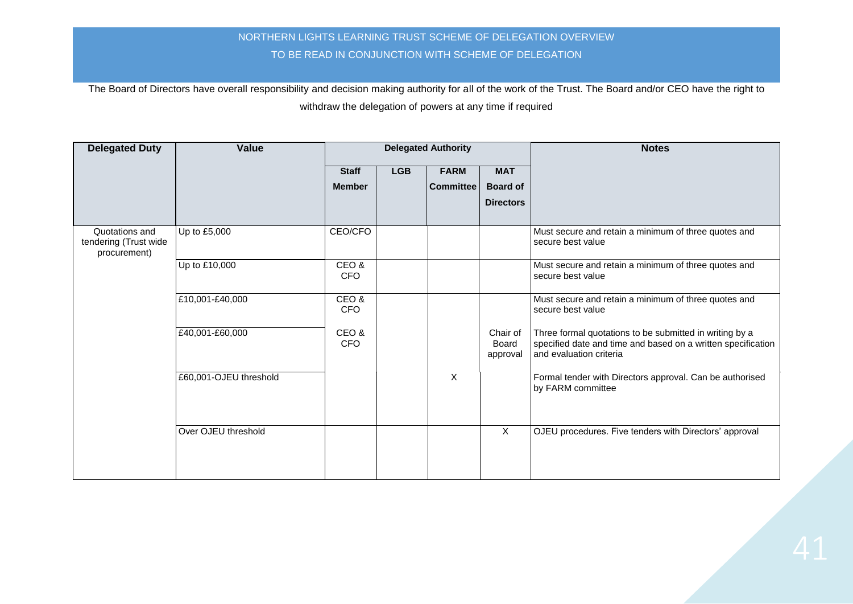| <b>Delegated Duty</b>                                   | Value                  | <b>Delegated Authority</b> |            |                  |                               | <b>Notes</b>                                                                                                                                       |
|---------------------------------------------------------|------------------------|----------------------------|------------|------------------|-------------------------------|----------------------------------------------------------------------------------------------------------------------------------------------------|
|                                                         |                        | <b>Staff</b>               | <b>LGB</b> | <b>FARM</b>      | <b>MAT</b>                    |                                                                                                                                                    |
|                                                         |                        | <b>Member</b>              |            | <b>Committee</b> | <b>Board of</b>               |                                                                                                                                                    |
|                                                         |                        |                            |            |                  | <b>Directors</b>              |                                                                                                                                                    |
| Quotations and<br>tendering (Trust wide<br>procurement) | Up to £5,000           | CEO/CFO                    |            |                  |                               | Must secure and retain a minimum of three quotes and<br>secure best value                                                                          |
|                                                         | Up to £10,000          | CEO&<br><b>CFO</b>         |            |                  |                               | Must secure and retain a minimum of three quotes and<br>secure best value                                                                          |
|                                                         | £10,001-£40,000        | CEO&<br><b>CFO</b>         |            |                  |                               | Must secure and retain a minimum of three quotes and<br>secure best value                                                                          |
|                                                         | £40,001-£60,000        | CEO&<br><b>CFO</b>         |            |                  | Chair of<br>Board<br>approval | Three formal quotations to be submitted in writing by a<br>specified date and time and based on a written specification<br>and evaluation criteria |
|                                                         | £60,001-OJEU threshold |                            |            | X                |                               | Formal tender with Directors approval. Can be authorised<br>by FARM committee                                                                      |
|                                                         | Over OJEU threshold    |                            |            |                  | $\boldsymbol{\mathsf{X}}$     | OJEU procedures. Five tenders with Directors' approval                                                                                             |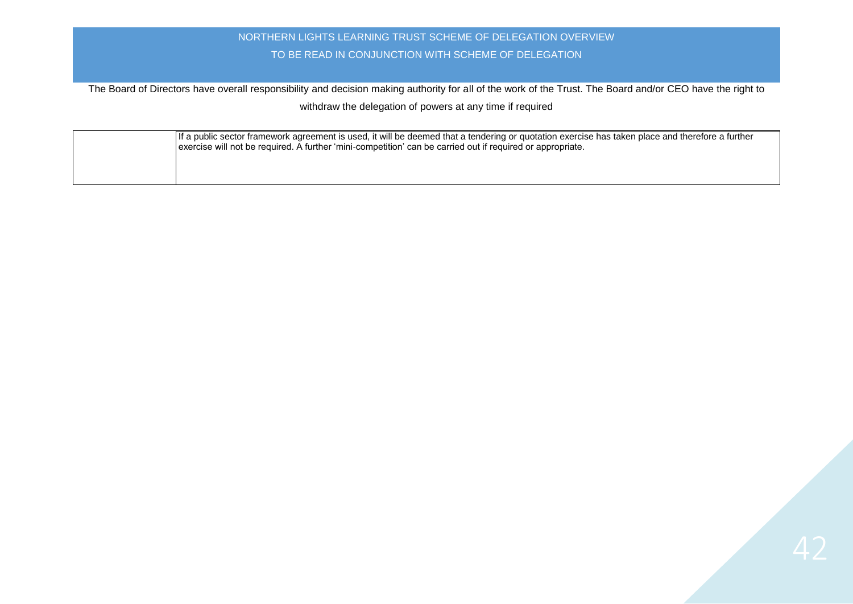| If a public sector framework agreement is used, it will be deemed that a tendering or quotation exercise has taken place and therefore a further<br>exercise will not be required. A further 'mini-competition' can be carried out if required or appropriate. |
|----------------------------------------------------------------------------------------------------------------------------------------------------------------------------------------------------------------------------------------------------------------|
|                                                                                                                                                                                                                                                                |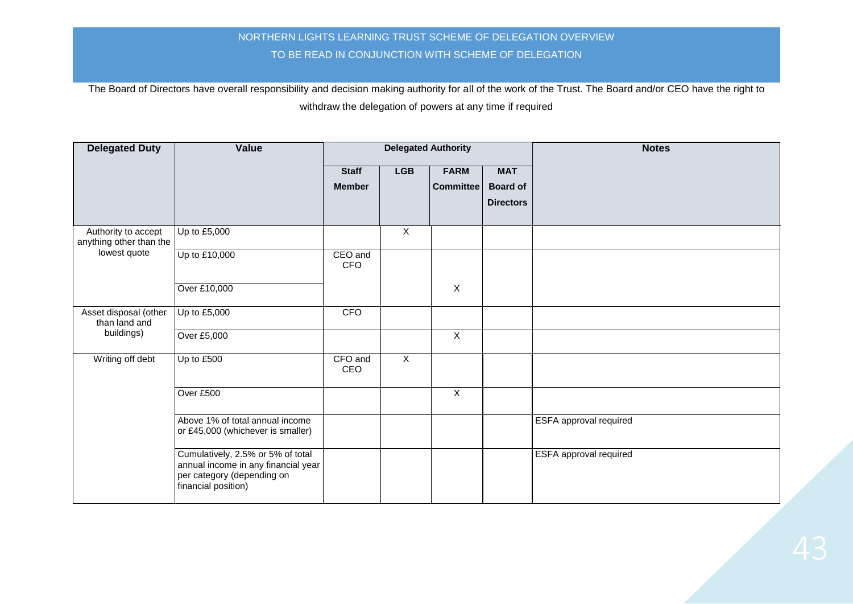| <b>Delegated Duty</b>                          | Value                                                                                                                         |                               | <b>Delegated Authority</b> |                                 |                                                   | <b>Notes</b>                  |
|------------------------------------------------|-------------------------------------------------------------------------------------------------------------------------------|-------------------------------|----------------------------|---------------------------------|---------------------------------------------------|-------------------------------|
|                                                |                                                                                                                               | <b>Staff</b><br><b>Member</b> | <b>LGB</b>                 | <b>FARM</b><br><b>Committee</b> | <b>MAT</b><br><b>Board of</b><br><b>Directors</b> |                               |
| Authority to accept<br>anything other than the | Up to £5,000                                                                                                                  |                               | $\overline{X}$             |                                 |                                                   |                               |
| lowest quote                                   | Up to £10,000                                                                                                                 | CEO and<br><b>CFO</b>         |                            |                                 |                                                   |                               |
|                                                | Over £10,000                                                                                                                  |                               |                            | $\mathsf{X}$                    |                                                   |                               |
| Asset disposal (other<br>than land and         | Up to £5,000                                                                                                                  | <b>CFO</b>                    |                            |                                 |                                                   |                               |
| buildings)                                     | Over £5,000                                                                                                                   |                               |                            | X                               |                                                   |                               |
| Writing off debt                               | Up to £500                                                                                                                    | CFO and<br>CEO                | $\overline{X}$             |                                 |                                                   |                               |
|                                                | Over £500                                                                                                                     |                               |                            | $\mathsf X$                     |                                                   |                               |
|                                                | Above 1% of total annual income<br>or £45,000 (whichever is smaller)                                                          |                               |                            |                                 |                                                   | ESFA approval required        |
|                                                | Cumulatively, 2.5% or 5% of total<br>annual income in any financial year<br>per category (depending on<br>financial position) |                               |                            |                                 |                                                   | <b>ESFA</b> approval required |